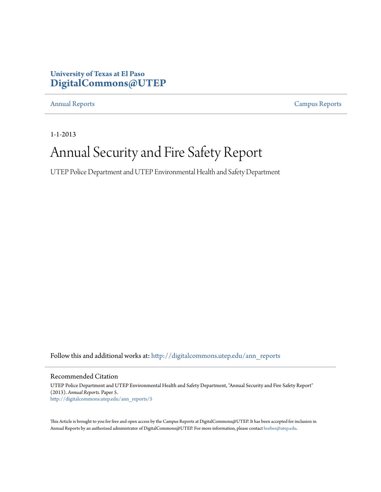### **University of Texas at El Paso [DigitalCommons@UTEP](http://digitalcommons.utep.edu?utm_source=digitalcommons.utep.edu%2Fann_reports%2F5&utm_medium=PDF&utm_campaign=PDFCoverPages)**

[Annual Reports](http://digitalcommons.utep.edu/ann_reports?utm_source=digitalcommons.utep.edu%2Fann_reports%2F5&utm_medium=PDF&utm_campaign=PDFCoverPages) [Campus Reports](http://digitalcommons.utep.edu/reports?utm_source=digitalcommons.utep.edu%2Fann_reports%2F5&utm_medium=PDF&utm_campaign=PDFCoverPages)

1-1-2013

## Annual Security and Fire Safety Report

UTEP Police Department and UTEP Environmental Health and Safety Department

Follow this and additional works at: [http://digitalcommons.utep.edu/ann\\_reports](http://digitalcommons.utep.edu/ann_reports?utm_source=digitalcommons.utep.edu%2Fann_reports%2F5&utm_medium=PDF&utm_campaign=PDFCoverPages)

Recommended Citation

UTEP Police Department and UTEP Environmental Health and Safety Department, "Annual Security and Fire Safety Report" (2013). *Annual Reports.* Paper 5. [http://digitalcommons.utep.edu/ann\\_reports/5](http://digitalcommons.utep.edu/ann_reports/5?utm_source=digitalcommons.utep.edu%2Fann_reports%2F5&utm_medium=PDF&utm_campaign=PDFCoverPages)

This Article is brought to you for free and open access by the Campus Reports at DigitalCommons@UTEP. It has been accepted for inclusion in Annual Reports by an authorized administrator of DigitalCommons@UTEP. For more information, please contact [lweber@utep.edu](mailto:lweber@utep.edu).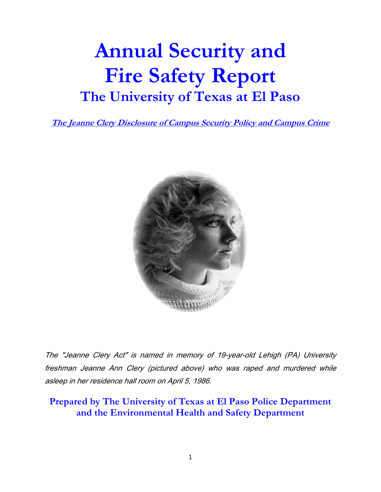# Annual Security and Fire Safety Report The University of Texas at El Paso

The Jeanne Clery Disclosure of Campus Security Policy and Campus Crime



The "Jeanne Clery Act" is named in memory of 19-year-old Lehigh (PA) University freshman Jeanne Ann Clery (pictured above) who was raped and murdered while asleep in her residence hall room on April 5, 1986.

Prepared by The University of Texas at El Paso Police Department and the Environmental Health and Safety Department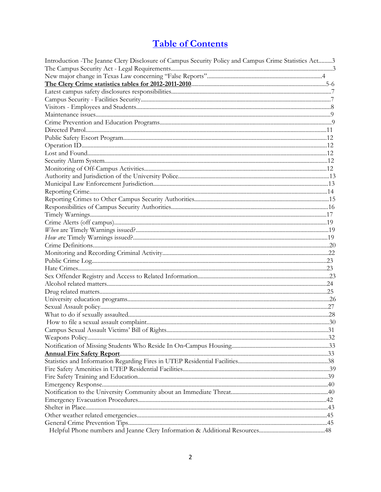### **Table of Contents**

| Introduction - The Jeanne Clery Disclosure of Campus Security Policy and Campus Crime Statistics Act3 |  |
|-------------------------------------------------------------------------------------------------------|--|
|                                                                                                       |  |
|                                                                                                       |  |
|                                                                                                       |  |
|                                                                                                       |  |
|                                                                                                       |  |
|                                                                                                       |  |
|                                                                                                       |  |
|                                                                                                       |  |
|                                                                                                       |  |
|                                                                                                       |  |
|                                                                                                       |  |
|                                                                                                       |  |
|                                                                                                       |  |
|                                                                                                       |  |
|                                                                                                       |  |
|                                                                                                       |  |
|                                                                                                       |  |
|                                                                                                       |  |
|                                                                                                       |  |
|                                                                                                       |  |
|                                                                                                       |  |
|                                                                                                       |  |
|                                                                                                       |  |
|                                                                                                       |  |
|                                                                                                       |  |
|                                                                                                       |  |
|                                                                                                       |  |
|                                                                                                       |  |
|                                                                                                       |  |
|                                                                                                       |  |
|                                                                                                       |  |
|                                                                                                       |  |
|                                                                                                       |  |
|                                                                                                       |  |
|                                                                                                       |  |
|                                                                                                       |  |
|                                                                                                       |  |
|                                                                                                       |  |
|                                                                                                       |  |
|                                                                                                       |  |
|                                                                                                       |  |
|                                                                                                       |  |
|                                                                                                       |  |
|                                                                                                       |  |
|                                                                                                       |  |
|                                                                                                       |  |
|                                                                                                       |  |
|                                                                                                       |  |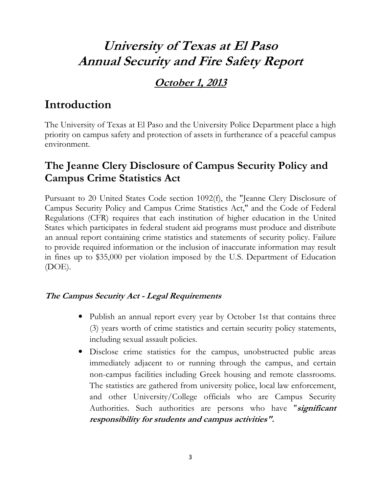### University of Texas at El Paso Annual Security and Fire Safety Report

### October 1, 2013

### Introduction

The University of Texas at El Paso and the University Police Department place a high priority on campus safety and protection of assets in furtherance of a peaceful campus environment.

### The Jeanne Clery Disclosure of Campus Security Policy and Campus Crime Statistics Act

Pursuant to 20 United States Code section 1092(f), the "Jeanne Clery Disclosure of Campus Security Policy and Campus Crime Statistics Act," and the Code of Federal Regulations (CFR) requires that each institution of higher education in the United States which participates in federal student aid programs must produce and distribute an annual report containing crime statistics and statements of security policy. Failure to provide required information or the inclusion of inaccurate information may result in fines up to \$35,000 per violation imposed by the U.S. Department of Education (DOE).

### The Campus Security Act - Legal Requirements

- Publish an annual report every year by October 1st that contains three (3) years worth of crime statistics and certain security policy statements, including sexual assault policies.
- Disclose crime statistics for the campus, unobstructed public areas immediately adjacent to or running through the campus, and certain non-campus facilities including Greek housing and remote classrooms. The statistics are gathered from university police, local law enforcement, and other University/College officials who are Campus Security Authorities. Such authorities are persons who have "significant responsibility for students and campus activities".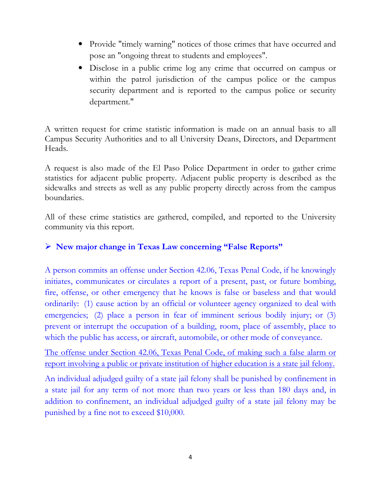- Provide "timely warning" notices of those crimes that have occurred and pose an "ongoing threat to students and employees".
- Disclose in a public crime log any crime that occurred on campus or within the patrol jurisdiction of the campus police or the campus security department and is reported to the campus police or security department."

A written request for crime statistic information is made on an annual basis to all Campus Security Authorities and to all University Deans, Directors, and Department Heads.

A request is also made of the El Paso Police Department in order to gather crime statistics for adjacent public property. Adjacent public property is described as the sidewalks and streets as well as any public property directly across from the campus boundaries.

All of these crime statistics are gathered, compiled, and reported to the University community via this report.

#### New major change in Texas Law concerning "False Reports"

A person commits an offense under Section 42.06, Texas Penal Code, if he knowingly initiates, communicates or circulates a report of a present, past, or future bombing, fire, offense, or other emergency that he knows is false or baseless and that would ordinarily: (1) cause action by an official or volunteer agency organized to deal with emergencies; (2) place a person in fear of imminent serious bodily injury; or (3) prevent or interrupt the occupation of a building, room, place of assembly, place to which the public has access, or aircraft, automobile, or other mode of conveyance.

The offense under Section 42.06, Texas Penal Code, of making such a false alarm or report involving a public or private institution of higher education is a state jail felony.

An individual adjudged guilty of a state jail felony shall be punished by confinement in a state jail for any term of not more than two years or less than 180 days and, in addition to confinement, an individual adjudged guilty of a state jail felony may be punished by a fine not to exceed \$10,000.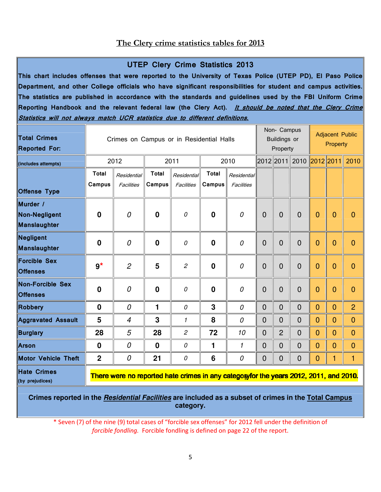#### The Clery crime statistics tables for 2013

#### UTEP Clery Crime Statistics 2013

This chart includes offenses that were reported to the University of Texas Police (UTEP PD), El Paso Police Department, and other College officials who have significant responsibilities for student and campus activities. The statistics are published in accordance with the standards and guidelines used by the FBI Uniform Crime Reporting Handbook and the relevant federal law (the Clery Act). It should be noted that the Clery Crime Statistics will not always match UCR statistics due to different definitions.

| <b>Total Crimes</b><br><b>Reported For:</b>      |                        | Crimes on Campus or in Residential Halls                                               |                        | Non- Campus<br><b>Buildings or</b><br>Property |                        |                           | <b>Adjacent Public</b><br>Property |                |                          |                |                |                |
|--------------------------------------------------|------------------------|----------------------------------------------------------------------------------------|------------------------|------------------------------------------------|------------------------|---------------------------|------------------------------------|----------------|--------------------------|----------------|----------------|----------------|
| (includes attempts)                              |                        | 2012                                                                                   |                        | 2011                                           |                        | 2010                      |                                    |                | 2012 2011 2010 2012 2011 |                |                | 2010           |
|                                                  | <b>Total</b><br>Campus | Residential<br>Facilities                                                              | <b>Total</b><br>Campus | Residential<br>Facilities                      | <b>Total</b><br>Campus | Residential<br>Facilities |                                    |                |                          |                |                |                |
| <b>Offense Type</b>                              |                        |                                                                                        |                        |                                                |                        |                           |                                    |                |                          |                |                |                |
| Murder /<br><b>Non-Negligent</b><br>Manslaughter | $\mathbf 0$            | 0                                                                                      | $\bf{0}$               | 0                                              | $\mathbf 0$            | 0                         | $\overline{0}$                     | $\overline{0}$ | $\overline{0}$           | $\overline{0}$ | $\overline{0}$ | $\overline{0}$ |
| Negligent<br>Manslaughter                        | $\mathbf 0$            | 0                                                                                      | $\bf{0}$               | 0                                              | $\bf{0}$               | 0                         | $\mathbf 0$                        | $\overline{0}$ | $\overline{0}$           | $\overline{0}$ | $\mathbf 0$    | $\overline{0}$ |
| <b>Forcible Sex</b><br><b>Offenses</b>           | $9^{\star}$            | $\overline{2}$                                                                         | 5                      | $\overline{c}$                                 | $\mathbf 0$            | 0                         | $\overline{0}$                     | $\Omega$       | $\overline{0}$           | $\overline{0}$ | $\overline{0}$ | $\overline{0}$ |
| <b>Non-Forcible Sex</b><br><b>Offenses</b>       | 0                      | 0                                                                                      | $\boldsymbol{0}$       | 0                                              | $\boldsymbol{0}$       | 0                         | $\overline{0}$                     | $\overline{0}$ | $\overline{0}$           | $\overline{0}$ | $\overline{0}$ | $\overline{0}$ |
| <b>Robbery</b>                                   | $\mathbf 0$            | 0                                                                                      | 1                      | 0                                              | 3                      | 0                         | $\mathbf 0$                        | $\mathbf{0}$   | $\overline{0}$           | $\overline{0}$ | $\mathbf{0}$   | $\overline{2}$ |
| <b>Aggravated Assault</b>                        | 5                      | 4                                                                                      | 3                      | 1                                              | 8                      | 0                         | $\overline{0}$                     | $\overline{0}$ | $\overline{0}$           | $\mathbf 0$    | $\mathbf{0}$   | $\overline{0}$ |
| <b>Burglary</b>                                  | 28                     | 5                                                                                      | 28                     | $\overline{c}$                                 | 72                     | 10                        | $\overline{0}$                     | $\overline{2}$ | $\mathbf 0$              | $\mathbf 0$    | $\mathbf{0}$   | $\overline{0}$ |
| <b>Arson</b>                                     | $\boldsymbol{0}$       | 0                                                                                      | $\boldsymbol{0}$       | 0                                              | 1                      | 1                         | $\mathbf 0$                        | $\mathbf 0$    | $\mathbf 0$              | $\overline{0}$ | $\mathbf{0}$   | $\overline{0}$ |
| <b>Motor Vehicle Theft</b>                       | $\overline{2}$         | 0                                                                                      | 21                     | 0                                              | 6                      | 0                         | 0                                  | $\overline{0}$ | $\mathbf 0$              | $\mathbf 0$    | 1              | 1              |
| <b>Hate Crimes</b><br>(by prejudices)            |                        | There were no reported hate crimes in any category for the years 2012, 2011, and 2010. |                        |                                                |                        |                           |                                    |                |                          |                |                |                |

**Crimes reported in the Residential Facilities are included as a subset of crimes in the Total Campus category.**

\* Seven (7) of the nine (9) total cases of "forcible sex offenses" for 2012 fell under the definition of forcible fondling. Forcible fondling is defined on page 22 of the report.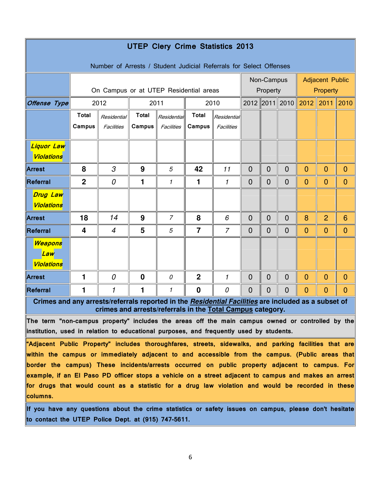| <b>UTEP Clery Crime Statistics 2013</b>                                                                                                                                                               |                                        |                                                            |              |                |                |                |                            |                                                  |                |                |                |                 |
|-------------------------------------------------------------------------------------------------------------------------------------------------------------------------------------------------------|----------------------------------------|------------------------------------------------------------|--------------|----------------|----------------|----------------|----------------------------|--------------------------------------------------|----------------|----------------|----------------|-----------------|
| Number of Arrests / Student Judicial Referrals for Select Offenses                                                                                                                                    |                                        |                                                            |              |                |                |                |                            |                                                  |                |                |                |                 |
|                                                                                                                                                                                                       | On Campus or at UTEP Residential areas |                                                            |              |                |                |                |                            | Non-Campus<br><b>Adjacent Public</b><br>Property |                |                |                |                 |
| <b>Offense Type</b>                                                                                                                                                                                   |                                        | 2012                                                       | 2011         |                | 2010           |                | Property<br>2012 2011 2010 |                                                  |                | 2012           |                | $2011$   2010   |
|                                                                                                                                                                                                       | <b>Total</b>                           | Residential                                                | <b>Total</b> | Residential    | <b>Total</b>   | Residential    |                            |                                                  |                |                |                |                 |
|                                                                                                                                                                                                       | Campus                                 | Facilities                                                 | Campus       | Facilities     | Campus         | Facilities     |                            |                                                  |                |                |                |                 |
|                                                                                                                                                                                                       |                                        |                                                            |              |                |                |                |                            |                                                  |                |                |                |                 |
| Liquor Law<br><b>Violations</b>                                                                                                                                                                       |                                        |                                                            |              |                |                |                |                            |                                                  |                |                |                |                 |
| <b>Arrest</b>                                                                                                                                                                                         | 8                                      | 3                                                          | 9            | 5              | 42             | 11             | $\overline{0}$             | $\overline{0}$                                   | $\overline{0}$ | $\overline{0}$ | $\mathbf{0}$   | $\overline{0}$  |
| Referral                                                                                                                                                                                              | $\mathbf 2$                            | 0                                                          | 1            | 1              | 1              | 1              | $\mathbf 0$                | $\mathbf 0$                                      | $\mathbf 0$    | $\overline{0}$ | $\mathbf{0}$   | $\mathbf{0}$    |
| <b>Drug Law</b><br>Violations                                                                                                                                                                         |                                        |                                                            |              |                |                |                |                            |                                                  |                |                |                |                 |
| <b>Arrest</b>                                                                                                                                                                                         | 18                                     | 14                                                         | 9            | $\overline{7}$ | 8              | 6              | $\mathbf{0}$               | $\overline{0}$                                   | $\overline{0}$ | 8              | $\overline{2}$ | $6\phantom{1}6$ |
| Referral                                                                                                                                                                                              | 4                                      | $\overline{4}$                                             | 5            | 5              | $\overline{7}$ | $\overline{7}$ | $\overline{0}$             | $\overline{0}$                                   | $\overline{0}$ | $\overline{0}$ | $\overline{0}$ | $\mathbf{0}$    |
| Weapons<br>Law<br><b>Violations</b>                                                                                                                                                                   |                                        |                                                            |              |                |                |                |                            |                                                  |                |                |                |                 |
| <b>Arrest</b>                                                                                                                                                                                         | 1                                      | 0                                                          | $\bf{0}$     | 0              | $\overline{2}$ | $\mathbf{1}$   | $\mathbf 0$                | $\Omega$                                         | $\overline{0}$ | $\overline{0}$ | $\mathbf{0}$   | $\mathbf{0}$    |
| Referral                                                                                                                                                                                              | 1                                      | 1                                                          | 1            | 1              | $\bf{0}$       | 0              | $\mathbf 0$                | $\mathbf{0}$                                     | $\overline{0}$ | $\mathbf 0$    | $\overline{0}$ | $\mathbf{0}$    |
| Crimes and any arrests/referrals reported in the Residential Facilities are included as a subset of                                                                                                   |                                        | crimes and arrests/referrals in the Total Campus category. |              |                |                |                |                            |                                                  |                |                |                |                 |
| The term "non-campus property" includes the areas off the main campus owned or controlled by the                                                                                                      |                                        |                                                            |              |                |                |                |                            |                                                  |                |                |                |                 |
| institution, used in relation to educational purposes, and frequently used by students.                                                                                                               |                                        |                                                            |              |                |                |                |                            |                                                  |                |                |                |                 |
| "Adjacent Public Property" includes thoroughfares, streets, sidewalks, and parking facilities that are                                                                                                |                                        |                                                            |              |                |                |                |                            |                                                  |                |                |                |                 |
| within the campus or immediately adjacent to and accessible from the campus. (Public areas that<br>$ $ border the campus) These incidents/arrests occurred on public property adjacent to campus. For |                                        |                                                            |              |                |                |                |                            |                                                  |                |                |                |                 |
| example, if an El Paso PD officer stops a vehicle on a street adjacent to campus and makes an arrest                                                                                                  |                                        |                                                            |              |                |                |                |                            |                                                  |                |                |                |                 |
| for drugs that would count as a statistic for a drug law violation and would be recorded in these<br>columns.                                                                                         |                                        |                                                            |              |                |                |                |                            |                                                  |                |                |                |                 |
| If you have any questions about the crime statistics or safety issues on campus, please don't hesitate                                                                                                |                                        |                                                            |              |                |                |                |                            |                                                  |                |                |                |                 |

to contact the UTEP Police Dept. at (915) 747-5611.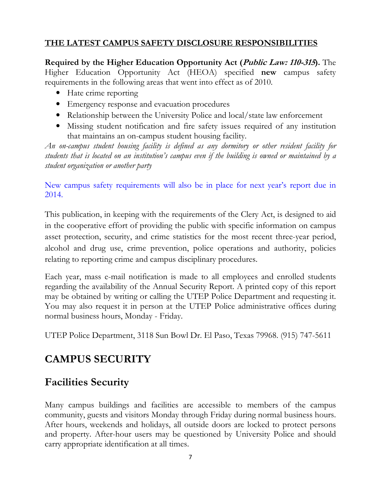### THE LATEST CAMPUS SAFETY DISCLOSURE RESPONSIBILITIES

Required by the Higher Education Opportunity Act (*Public Law: 110-315*). The Higher Education Opportunity Act (HEOA) specified new campus safety requirements in the following areas that went into effect as of 2010.

- Hate crime reporting
- Emergency response and evacuation procedures
- Relationship between the University Police and local/state law enforcement
- Missing student notification and fire safety issues required of any institution that maintains an on-campus student housing facility.

An on-campus student housing facility is defined as any dormitory or other resident facility for students that is located on an institution's campus even if the building is owned or maintained by a student organization or another party

New campus safety requirements will also be in place for next year's report due in 2014.

This publication, in keeping with the requirements of the Clery Act, is designed to aid in the cooperative effort of providing the public with specific information on campus asset protection, security, and crime statistics for the most recent three-year period, alcohol and drug use, crime prevention, police operations and authority, policies relating to reporting crime and campus disciplinary procedures.

Each year, mass e-mail notification is made to all employees and enrolled students regarding the availability of the Annual Security Report. A printed copy of this report may be obtained by writing or calling the UTEP Police Department and requesting it. You may also request it in person at the UTEP Police administrative offices during normal business hours, Monday - Friday.

UTEP Police Department, 3118 Sun Bowl Dr. El Paso, Texas 79968. (915) 747-5611

### CAMPUS SECURITY

### Facilities Security

Many campus buildings and facilities are accessible to members of the campus community, guests and visitors Monday through Friday during normal business hours. After hours, weekends and holidays, all outside doors are locked to protect persons and property. After-hour users may be questioned by University Police and should carry appropriate identification at all times.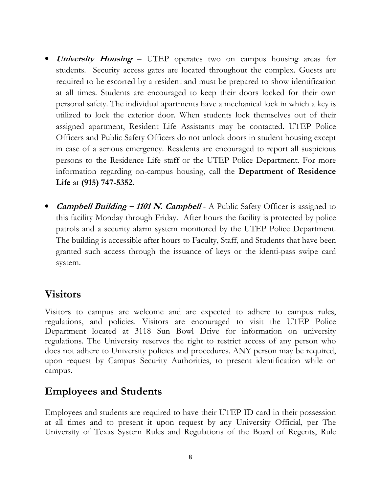- University Housing UTEP operates two on campus housing areas for students. Security access gates are located throughout the complex. Guests are required to be escorted by a resident and must be prepared to show identification at all times. Students are encouraged to keep their doors locked for their own personal safety. The individual apartments have a mechanical lock in which a key is utilized to lock the exterior door. When students lock themselves out of their assigned apartment, Resident Life Assistants may be contacted. UTEP Police Officers and Public Safety Officers do not unlock doors in student housing except in case of a serious emergency. Residents are encouraged to report all suspicious persons to the Residence Life staff or the UTEP Police Department. For more information regarding on-campus housing, call the Department of Residence Life at (915) 747-5352.
- *Campbell Building 1101 N. Campbell* A Public Safety Officer is assigned to this facility Monday through Friday. After hours the facility is protected by police patrols and a security alarm system monitored by the UTEP Police Department. The building is accessible after hours to Faculty, Staff, and Students that have been granted such access through the issuance of keys or the identi-pass swipe card system.

### Visitors

Visitors to campus are welcome and are expected to adhere to campus rules, regulations, and policies. Visitors are encouraged to visit the UTEP Police Department located at 3118 Sun Bowl Drive for information on university regulations. The University reserves the right to restrict access of any person who does not adhere to University policies and procedures. ANY person may be required, upon request by Campus Security Authorities, to present identification while on campus.

### Employees and Students

Employees and students are required to have their UTEP ID card in their possession at all times and to present it upon request by any University Official, per The University of Texas System Rules and Regulations of the Board of Regents, Rule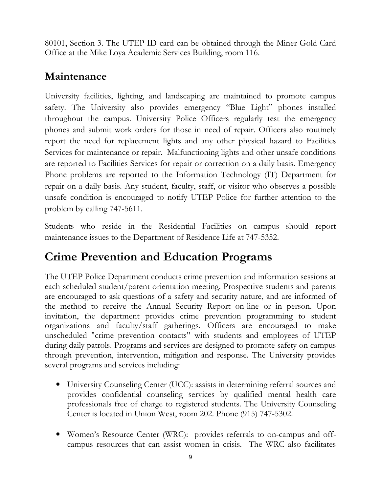80101, Section 3. The UTEP ID card can be obtained through the Miner Gold Card Office at the Mike Loya Academic Services Building, room 116.

### Maintenance

University facilities, lighting, and landscaping are maintained to promote campus safety. The University also provides emergency "Blue Light" phones installed throughout the campus. University Police Officers regularly test the emergency phones and submit work orders for those in need of repair. Officers also routinely report the need for replacement lights and any other physical hazard to Facilities Services for maintenance or repair. Malfunctioning lights and other unsafe conditions are reported to Facilities Services for repair or correction on a daily basis. Emergency Phone problems are reported to the Information Technology (IT) Department for repair on a daily basis. Any student, faculty, staff, or visitor who observes a possible unsafe condition is encouraged to notify UTEP Police for further attention to the problem by calling 747-5611.

Students who reside in the Residential Facilities on campus should report maintenance issues to the Department of Residence Life at 747-5352.

### Crime Prevention and Education Programs

The UTEP Police Department conducts crime prevention and information sessions at each scheduled student/parent orientation meeting. Prospective students and parents are encouraged to ask questions of a safety and security nature, and are informed of the method to receive the Annual Security Report on-line or in person. Upon invitation, the department provides crime prevention programming to student organizations and faculty/staff gatherings. Officers are encouraged to make unscheduled "crime prevention contacts" with students and employees of UTEP during daily patrols. Programs and services are designed to promote safety on campus through prevention, intervention, mitigation and response. The University provides several programs and services including:

- University Counseling Center (UCC): assists in determining referral sources and provides confidential counseling services by qualified mental health care professionals free of charge to registered students. The University Counseling Center is located in Union West, room 202. Phone (915) 747-5302.
- Women's Resource Center (WRC): provides referrals to on-campus and offcampus resources that can assist women in crisis. The WRC also facilitates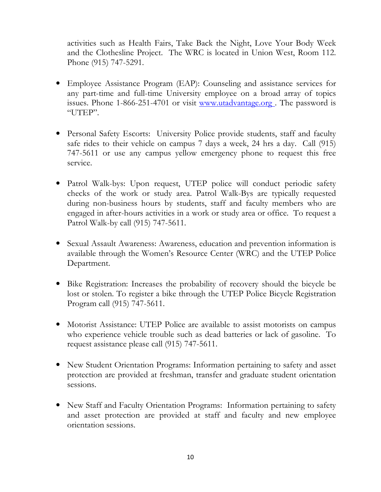activities such as Health Fairs, Take Back the Night, Love Your Body Week and the Clothesline Project. The WRC is located in Union West, Room 112. Phone (915) 747-5291.

- Employee Assistance Program (EAP): Counseling and assistance services for any part-time and full-time University employee on a broad array of topics issues. Phone 1-866-251-4701 or visit www.utadvantage.org. The password is "UTEP".
- Personal Safety Escorts: University Police provide students, staff and faculty safe rides to their vehicle on campus 7 days a week, 24 hrs a day. Call (915) 747-5611 or use any campus yellow emergency phone to request this free service.
- Patrol Walk-bys: Upon request, UTEP police will conduct periodic safety checks of the work or study area. Patrol Walk-Bys are typically requested during non-business hours by students, staff and faculty members who are engaged in after-hours activities in a work or study area or office. To request a Patrol Walk-by call (915) 747-5611.
- Sexual Assault Awareness: Awareness, education and prevention information is available through the Women's Resource Center (WRC) and the UTEP Police Department.
- Bike Registration: Increases the probability of recovery should the bicycle be lost or stolen. To register a bike through the UTEP Police Bicycle Registration Program call (915) 747-5611.
- Motorist Assistance: UTEP Police are available to assist motorists on campus who experience vehicle trouble such as dead batteries or lack of gasoline. To request assistance please call (915) 747-5611.
- New Student Orientation Programs: Information pertaining to safety and asset protection are provided at freshman, transfer and graduate student orientation sessions.
- New Staff and Faculty Orientation Programs: Information pertaining to safety and asset protection are provided at staff and faculty and new employee orientation sessions.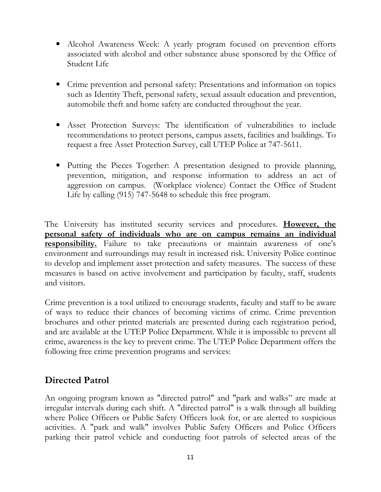- Alcohol Awareness Week: A yearly program focused on prevention efforts associated with alcohol and other substance abuse sponsored by the Office of Student Life
- Crime prevention and personal safety: Presentations and information on topics such as Identity Theft, personal safety, sexual assault education and prevention, automobile theft and home safety are conducted throughout the year.
- Asset Protection Surveys: The identification of vulnerabilities to include recommendations to protect persons, campus assets, facilities and buildings. To request a free Asset Protection Survey, call UTEP Police at 747-5611.
- Putting the Pieces Together: A presentation designed to provide planning, prevention, mitigation, and response information to address an act of aggression on campus. (Workplace violence) Contact the Office of Student Life by calling (915) 747-5648 to schedule this free program.

The University has instituted security services and procedures. **However, the** personal safety of individuals who are on campus remains an individual **responsibility.** Failure to take precautions or maintain awareness of one's environment and surroundings may result in increased risk. University Police continue to develop and implement asset protection and safety measures. The success of these measures is based on active involvement and participation by faculty, staff, students and visitors.

Crime prevention is a tool utilized to encourage students, faculty and staff to be aware of ways to reduce their chances of becoming victims of crime. Crime prevention brochures and other printed materials are presented during each registration period, and are available at the UTEP Police Department. While it is impossible to prevent all crime, awareness is the key to prevent crime. The UTEP Police Department offers the following free crime prevention programs and services:

### Directed Patrol

An ongoing program known as "directed patrol" and "park and walks" are made at irregular intervals during each shift. A "directed patrol" is a walk through all building where Police Officers or Public Safety Officers look for, or are alerted to suspicious activities. A "park and walk" involves Public Safety Officers and Police Officers parking their patrol vehicle and conducting foot patrols of selected areas of the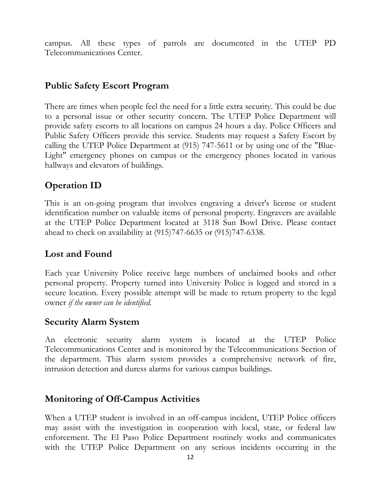campus. All these types of patrols are documented in the UTEP PD Telecommunications Center.

### Public Safety Escort Program

There are times when people feel the need for a little extra security. This could be due to a personal issue or other security concern. The UTEP Police Department will provide safety escorts to all locations on campus 24 hours a day. Police Officers and Public Safety Officers provide this service. Students may request a Safety Escort by calling the UTEP Police Department at (915) 747-5611 or by using one of the "Blue-Light" emergency phones on campus or the emergency phones located in various hallways and elevators of buildings.

### Operation ID

This is an on-going program that involves engraving a driver's license or student identification number on valuable items of personal property. Engravers are available at the UTEP Police Department located at 3118 Sun Bowl Drive. Please contact ahead to check on availability at (915)747-6635 or (915)747-6338.

### Lost and Found

Each year University Police receive large numbers of unclaimed books and other personal property. Property turned into University Police is logged and stored in a secure location. Every possible attempt will be made to return property to the legal owner if the owner can be identified.

### Security Alarm System

An electronic security alarm system is located at the UTEP Police Telecommunications Center and is monitored by the Telecommunications Section of the department. This alarm system provides a comprehensive network of fire, intrusion detection and duress alarms for various campus buildings.

### Monitoring of Off-Campus Activities

When a UTEP student is involved in an off-campus incident, UTEP Police officers may assist with the investigation in cooperation with local, state, or federal law enforcement. The El Paso Police Department routinely works and communicates with the UTEP Police Department on any serious incidents occurring in the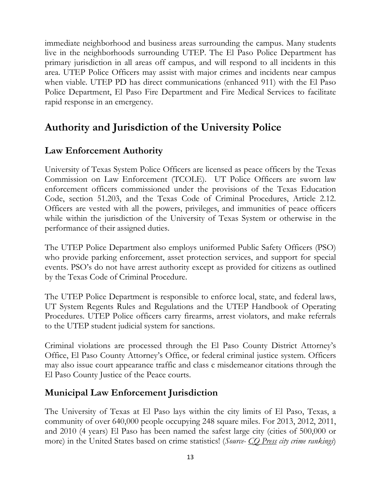immediate neighborhood and business areas surrounding the campus. Many students live in the neighborhoods surrounding UTEP. The El Paso Police Department has primary jurisdiction in all areas off campus, and will respond to all incidents in this area. UTEP Police Officers may assist with major crimes and incidents near campus when viable. UTEP PD has direct communications (enhanced 911) with the El Paso Police Department, El Paso Fire Department and Fire Medical Services to facilitate rapid response in an emergency.

### Authority and Jurisdiction of the University Police

### Law Enforcement Authority

University of Texas System Police Officers are licensed as peace officers by the Texas Commission on Law Enforcement (TCOLE). UT Police Officers are sworn law enforcement officers commissioned under the provisions of the Texas Education Code, section 51.203, and the Texas Code of Criminal Procedures, Article 2.12. Officers are vested with all the powers, privileges, and immunities of peace officers while within the jurisdiction of the University of Texas System or otherwise in the performance of their assigned duties.

The UTEP Police Department also employs uniformed Public Safety Officers (PSO) who provide parking enforcement, asset protection services, and support for special events. PSO's do not have arrest authority except as provided for citizens as outlined by the Texas Code of Criminal Procedure.

The UTEP Police Department is responsible to enforce local, state, and federal laws, UT System Regents Rules and Regulations and the UTEP Handbook of Operating Procedures. UTEP Police officers carry firearms, arrest violators, and make referrals to the UTEP student judicial system for sanctions.

Criminal violations are processed through the El Paso County District Attorney's Office, El Paso County Attorney's Office, or federal criminal justice system. Officers may also issue court appearance traffic and class c misdemeanor citations through the El Paso County Justice of the Peace courts.

### Municipal Law Enforcement Jurisdiction

The University of Texas at El Paso lays within the city limits of El Paso, Texas, a community of over 640,000 people occupying 248 square miles. For 2013, 2012, 2011, and 2010 (4 years) El Paso has been named the safest large city (cities of 500,000 or more) in the United States based on crime statistics! (Source-  $\overline{CO}$  Press city crime rankings)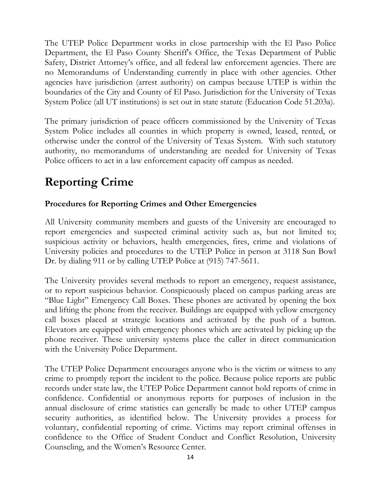The UTEP Police Department works in close partnership with the El Paso Police Department, the El Paso County Sheriff's Office, the Texas Department of Public Safety, District Attorney's office, and all federal law enforcement agencies. There are no Memorandums of Understanding currently in place with other agencies. Other agencies have jurisdiction (arrest authority) on campus because UTEP is within the boundaries of the City and County of El Paso. Jurisdiction for the University of Texas System Police (all UT institutions) is set out in state statute (Education Code 51.203a).

The primary jurisdiction of peace officers commissioned by the University of Texas System Police includes all counties in which property is owned, leased, rented, or otherwise under the control of the University of Texas System. With such statutory authority, no memorandums of understanding are needed for University of Texas Police officers to act in a law enforcement capacity off campus as needed.

### Reporting Crime

### Procedures for Reporting Crimes and Other Emergencies

All University community members and guests of the University are encouraged to report emergencies and suspected criminal activity such as, but not limited to; suspicious activity or behaviors, health emergencies, fires, crime and violations of University policies and procedures to the UTEP Police in person at 3118 Sun Bowl Dr. by dialing 911 or by calling UTEP Police at (915) 747-5611.

The University provides several methods to report an emergency, request assistance, or to report suspicious behavior. Conspicuously placed on campus parking areas are "Blue Light" Emergency Call Boxes. These phones are activated by opening the box and lifting the phone from the receiver. Buildings are equipped with yellow emergency call boxes placed at strategic locations and activated by the push of a button. Elevators are equipped with emergency phones which are activated by picking up the phone receiver. These university systems place the caller in direct communication with the University Police Department.

The UTEP Police Department encourages anyone who is the victim or witness to any crime to promptly report the incident to the police. Because police reports are public records under state law, the UTEP Police Department cannot hold reports of crime in confidence. Confidential or anonymous reports for purposes of inclusion in the annual disclosure of crime statistics can generally be made to other UTEP campus security authorities, as identified below. The University provides a process for voluntary, confidential reporting of crime. Victims may report criminal offenses in confidence to the Office of Student Conduct and Conflict Resolution, University Counseling, and the Women's Resource Center.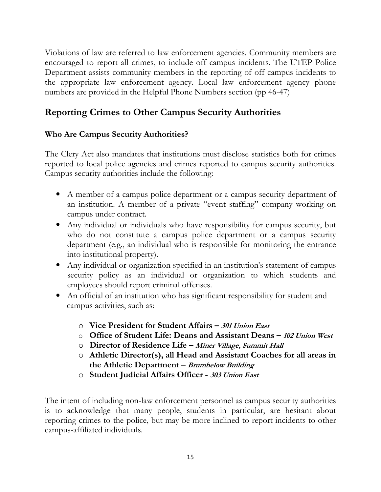Violations of law are referred to law enforcement agencies. Community members are encouraged to report all crimes, to include off campus incidents. The UTEP Police Department assists community members in the reporting of off campus incidents to the appropriate law enforcement agency. Local law enforcement agency phone numbers are provided in the Helpful Phone Numbers section (pp 46-47)

### Reporting Crimes to Other Campus Security Authorities

### Who Are Campus Security Authorities?

The Clery Act also mandates that institutions must disclose statistics both for crimes reported to local police agencies and crimes reported to campus security authorities. Campus security authorities include the following:

- A member of a campus police department or a campus security department of an institution. A member of a private "event staffing" company working on campus under contract.
- Any individual or individuals who have responsibility for campus security, but who do not constitute a campus police department or a campus security department (e.g., an individual who is responsible for monitoring the entrance into institutional property).
- Any individual or organization specified in an institution's statement of campus security policy as an individual or organization to which students and employees should report criminal offenses.
- An official of an institution who has significant responsibility for student and campus activities, such as:
	- $\circ$  Vice President for Student Affairs 301 Union East
	- o Office of Student Life: Deans and Assistant Deans 102 Union West
	- o Director of Residence Life Miner Village, Summit Hall
	- o Athletic Director(s), all Head and Assistant Coaches for all areas in the Athletic Department – Brumbelow Building
	- o Student Judicial Affairs Officer 303 Union East

The intent of including non-law enforcement personnel as campus security authorities is to acknowledge that many people, students in particular, are hesitant about reporting crimes to the police, but may be more inclined to report incidents to other campus-affiliated individuals.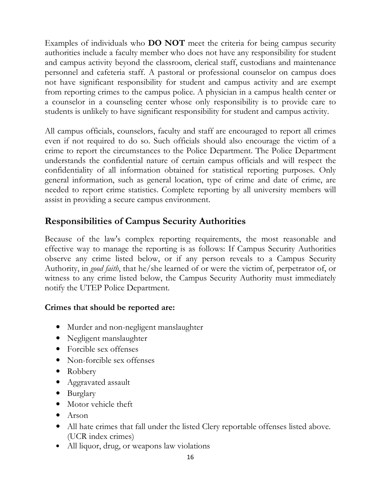Examples of individuals who DO NOT meet the criteria for being campus security authorities include a faculty member who does not have any responsibility for student and campus activity beyond the classroom, clerical staff, custodians and maintenance personnel and cafeteria staff. A pastoral or professional counselor on campus does not have significant responsibility for student and campus activity and are exempt from reporting crimes to the campus police. A physician in a campus health center or a counselor in a counseling center whose only responsibility is to provide care to students is unlikely to have significant responsibility for student and campus activity.

All campus officials, counselors, faculty and staff are encouraged to report all crimes even if not required to do so. Such officials should also encourage the victim of a crime to report the circumstances to the Police Department. The Police Department understands the confidential nature of certain campus officials and will respect the confidentiality of all information obtained for statistical reporting purposes. Only general information, such as general location, type of crime and date of crime, are needed to report crime statistics. Complete reporting by all university members will assist in providing a secure campus environment.

### Responsibilities of Campus Security Authorities

Because of the law's complex reporting requirements, the most reasonable and effective way to manage the reporting is as follows: If Campus Security Authorities observe any crime listed below, or if any person reveals to a Campus Security Authority, in good faith, that he/she learned of or were the victim of, perpetrator of, or witness to any crime listed below, the Campus Security Authority must immediately notify the UTEP Police Department.

### Crimes that should be reported are:

- Murder and non-negligent manslaughter
- Negligent manslaughter
- Forcible sex offenses
- Non-forcible sex offenses
- Robbery
- Aggravated assault
- Burglary
- Motor vehicle theft
- Arson
- All hate crimes that fall under the listed Clery reportable offenses listed above. (UCR index crimes)
- All liquor, drug, or weapons law violations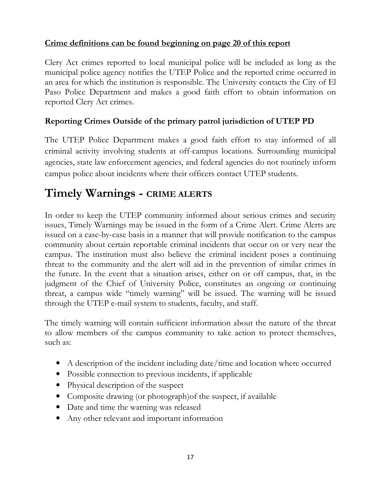#### Crime definitions can be found beginning on page 20 of this report

Clery Act crimes reported to local municipal police will be included as long as the municipal police agency notifies the UTEP Police and the reported crime occurred in an area for which the institution is responsible. The University contacts the City of El Paso Police Department and makes a good faith effort to obtain information on reported Clery Act crimes.

#### Reporting Crimes Outside of the primary patrol jurisdiction of UTEP PD

The UTEP Police Department makes a good faith effort to stay informed of all criminal activity involving students at off-campus locations. Surrounding municipal agencies, state law enforcement agencies, and federal agencies do not routinely inform campus police about incidents where their officers contact UTEP students.

### Timely Warnings - CRIME ALERTS

In order to keep the UTEP community informed about serious crimes and security issues, Timely Warnings may be issued in the form of a Crime Alert. Crime Alerts are issued on a case-by-case basis in a manner that will provide notification to the campus community about certain reportable criminal incidents that occur on or very near the campus. The institution must also believe the criminal incident poses a continuing threat to the community and the alert will aid in the prevention of similar crimes in the future. In the event that a situation arises, either on or off campus, that, in the judgment of the Chief of University Police, constitutes an ongoing or continuing threat, a campus wide "timely warning" will be issued. The warning will be issued through the UTEP e-mail system to students, faculty, and staff.

The timely warning will contain sufficient information about the nature of the threat to allow members of the campus community to take action to protect themselves, such as:

- A description of the incident including date/time and location where occurred
- Possible connection to previous incidents, if applicable
- Physical description of the suspect
- Composite drawing (or photograph) of the suspect, if available
- Date and time the warning was released
- Any other relevant and important information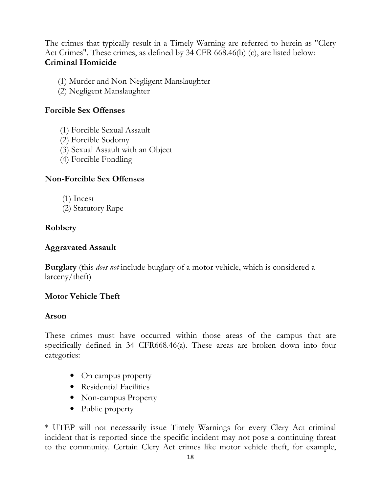The crimes that typically result in a Timely Warning are referred to herein as "Clery Act Crimes". These crimes, as defined by 34 CFR 668.46(b) (c), are listed below: Criminal Homicide

- (1) Murder and Non-Negligent Manslaughter
- (2) Negligent Manslaughter

### Forcible Sex Offenses

- (1) Forcible Sexual Assault
- (2) Forcible Sodomy
- (3) Sexual Assault with an Object
- (4) Forcible Fondling

### Non-Forcible Sex Offenses

- (1) Incest
- (2) Statutory Rape

### Robbery

### Aggravated Assault

**Burglary** (this *does not* include burglary of a motor vehicle, which is considered a larceny/theft)

### Motor Vehicle Theft

### Arson

These crimes must have occurred within those areas of the campus that are specifically defined in 34 CFR668.46(a). These areas are broken down into four categories:

- On campus property
- Residential Facilities
- Non-campus Property
- Public property

\* UTEP will not necessarily issue Timely Warnings for every Clery Act criminal incident that is reported since the specific incident may not pose a continuing threat to the community. Certain Clery Act crimes like motor vehicle theft, for example,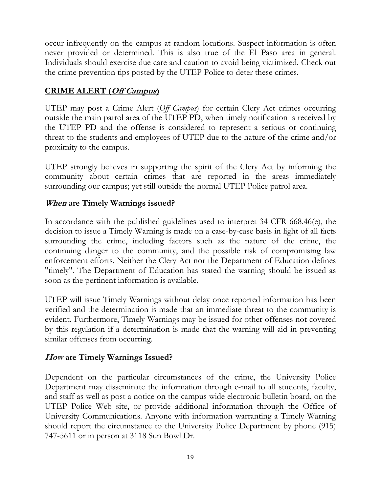occur infrequently on the campus at random locations. Suspect information is often never provided or determined. This is also true of the El Paso area in general. Individuals should exercise due care and caution to avoid being victimized. Check out the crime prevention tips posted by the UTEP Police to deter these crimes.

### CRIME ALERT (Off Campus)

UTEP may post a Crime Alert (Off Campus) for certain Clery Act crimes occurring outside the main patrol area of the UTEP PD, when timely notification is received by the UTEP PD and the offense is considered to represent a serious or continuing threat to the students and employees of UTEP due to the nature of the crime and/or proximity to the campus.

UTEP strongly believes in supporting the spirit of the Clery Act by informing the community about certain crimes that are reported in the areas immediately surrounding our campus; yet still outside the normal UTEP Police patrol area.

#### When are Timely Warnings issued?

In accordance with the published guidelines used to interpret 34 CFR 668.46(e), the decision to issue a Timely Warning is made on a case-by-case basis in light of all facts surrounding the crime, including factors such as the nature of the crime, the continuing danger to the community, and the possible risk of compromising law enforcement efforts. Neither the Clery Act nor the Department of Education defines "timely". The Department of Education has stated the warning should be issued as soon as the pertinent information is available.

UTEP will issue Timely Warnings without delay once reported information has been verified and the determination is made that an immediate threat to the community is evident. Furthermore, Timely Warnings may be issued for other offenses not covered by this regulation if a determination is made that the warning will aid in preventing similar offenses from occurring.

#### How are Timely Warnings Issued?

Dependent on the particular circumstances of the crime, the University Police Department may disseminate the information through e-mail to all students, faculty, and staff as well as post a notice on the campus wide electronic bulletin board, on the UTEP Police Web site, or provide additional information through the Office of University Communications. Anyone with information warranting a Timely Warning should report the circumstance to the University Police Department by phone (915) 747-5611 or in person at 3118 Sun Bowl Dr.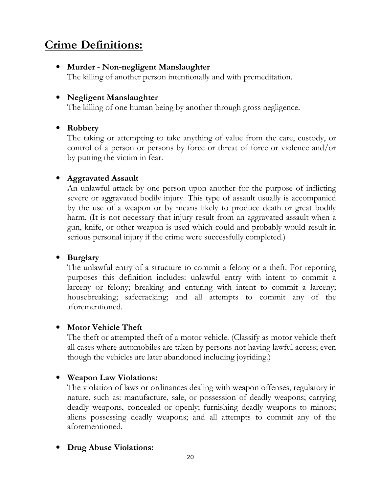### Crime Definitions:

• Murder - Non-negligent Manslaughter

The killing of another person intentionally and with premeditation.

#### • Negligent Manslaughter

The killing of one human being by another through gross negligence.

#### • Robbery

The taking or attempting to take anything of value from the care, custody, or control of a person or persons by force or threat of force or violence and/or by putting the victim in fear.

#### • Aggravated Assault

An unlawful attack by one person upon another for the purpose of inflicting severe or aggravated bodily injury. This type of assault usually is accompanied by the use of a weapon or by means likely to produce death or great bodily harm. (It is not necessary that injury result from an aggravated assault when a gun, knife, or other weapon is used which could and probably would result in serious personal injury if the crime were successfully completed.)

#### • Burglary

The unlawful entry of a structure to commit a felony or a theft. For reporting purposes this definition includes: unlawful entry with intent to commit a larceny or felony; breaking and entering with intent to commit a larceny; housebreaking; safecracking; and all attempts to commit any of the aforementioned.

#### • Motor Vehicle Theft

The theft or attempted theft of a motor vehicle. (Classify as motor vehicle theft all cases where automobiles are taken by persons not having lawful access; even though the vehicles are later abandoned including joyriding.)

#### • Weapon Law Violations:

The violation of laws or ordinances dealing with weapon offenses, regulatory in nature, such as: manufacture, sale, or possession of deadly weapons; carrying deadly weapons, concealed or openly; furnishing deadly weapons to minors; aliens possessing deadly weapons; and all attempts to commit any of the aforementioned.

#### • Drug Abuse Violations: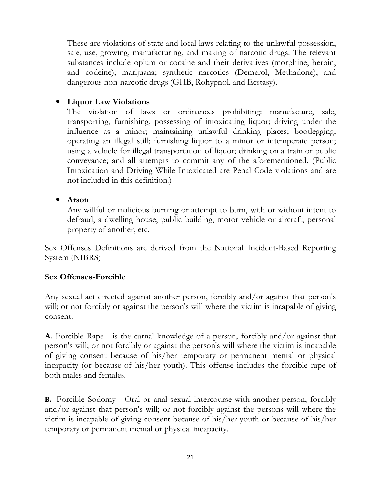These are violations of state and local laws relating to the unlawful possession, sale, use, growing, manufacturing, and making of narcotic drugs. The relevant substances include opium or cocaine and their derivatives (morphine, heroin, and codeine); marijuana; synthetic narcotics (Demerol, Methadone), and dangerous non-narcotic drugs (GHB, Rohypnol, and Ecstasy).

#### • Liquor Law Violations

The violation of laws or ordinances prohibiting: manufacture, sale, transporting, furnishing, possessing of intoxicating liquor; driving under the influence as a minor; maintaining unlawful drinking places; bootlegging; operating an illegal still; furnishing liquor to a minor or intemperate person; using a vehicle for illegal transportation of liquor; drinking on a train or public conveyance; and all attempts to commit any of the aforementioned. (Public Intoxication and Driving While Intoxicated are Penal Code violations and are not included in this definition.)

#### • Arson

Any willful or malicious burning or attempt to burn, with or without intent to defraud, a dwelling house, public building, motor vehicle or aircraft, personal property of another, etc.

Sex Offenses Definitions are derived from the National Incident-Based Reporting System (NIBRS)

#### Sex Offenses-Forcible

Any sexual act directed against another person, forcibly and/or against that person's will; or not forcibly or against the person's will where the victim is incapable of giving consent.

A. Forcible Rape - is the carnal knowledge of a person, forcibly and/or against that person's will; or not forcibly or against the person's will where the victim is incapable of giving consent because of his/her temporary or permanent mental or physical incapacity (or because of his/her youth). This offense includes the forcible rape of both males and females.

B. Forcible Sodomy - Oral or anal sexual intercourse with another person, forcibly and/or against that person's will; or not forcibly against the persons will where the victim is incapable of giving consent because of his/her youth or because of his/her temporary or permanent mental or physical incapacity.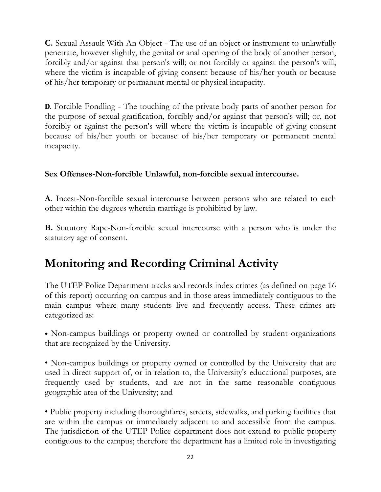C. Sexual Assault With An Object - The use of an object or instrument to unlawfully penetrate, however slightly, the genital or anal opening of the body of another person, forcibly and/or against that person's will; or not forcibly or against the person's will; where the victim is incapable of giving consent because of his/her youth or because of his/her temporary or permanent mental or physical incapacity.

D. Forcible Fondling - The touching of the private body parts of another person for the purpose of sexual gratification, forcibly and/or against that person's will; or, not forcibly or against the person's will where the victim is incapable of giving consent because of his/her youth or because of his/her temporary or permanent mental incapacity.

#### Sex Offenses-Non-forcible Unlawful, non-forcible sexual intercourse.

A. Incest-Non-forcible sexual intercourse between persons who are related to each other within the degrees wherein marriage is prohibited by law.

B. Statutory Rape-Non-forcible sexual intercourse with a person who is under the statutory age of consent.

### Monitoring and Recording Criminal Activity

The UTEP Police Department tracks and records index crimes (as defined on page 16 of this report) occurring on campus and in those areas immediately contiguous to the main campus where many students live and frequently access. These crimes are categorized as:

• Non-campus buildings or property owned or controlled by student organizations that are recognized by the University.

• Non-campus buildings or property owned or controlled by the University that are used in direct support of, or in relation to, the University's educational purposes, are frequently used by students, and are not in the same reasonable contiguous geographic area of the University; and

• Public property including thoroughfares, streets, sidewalks, and parking facilities that are within the campus or immediately adjacent to and accessible from the campus. The jurisdiction of the UTEP Police department does not extend to public property contiguous to the campus; therefore the department has a limited role in investigating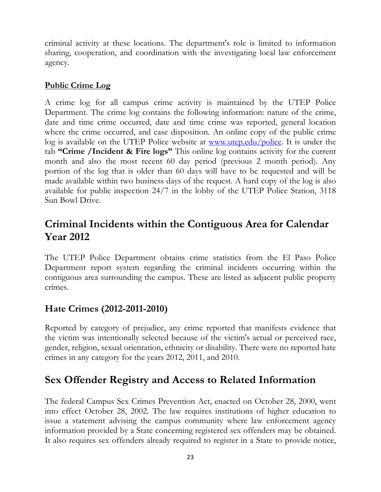criminal activity at these locations. The department's role is limited to information sharing, cooperation, and coordination with the investigating local law enforcement agency.

### Public Crime Log

A crime log for all campus crime activity is maintained by the UTEP Police Department. The crime log contains the following information: nature of the crime, date and time crime occurred, date and time crime was reported, general location where the crime occurred, and case disposition. An online copy of the public crime log is available on the UTEP Police website at <u>www.utep.edu/police</u>. It is under the tab "Crime /Incident & Fire logs" This online log contains activity for the current month and also the most recent 60 day period (previous 2 month period). Any portion of the log that is older than 60 days will have to be requested and will be made available within two business days of the request. A hard copy of the log is also available for public inspection 24/7 in the lobby of the UTEP Police Station, 3118 Sun Bowl Drive.

### Criminal Incidents within the Contiguous Area for Calendar Year 2012

The UTEP Police Department obtains crime statistics from the El Paso Police Department report system regarding the criminal incidents occurring within the contiguous area surrounding the campus. These are listed as adjacent public property crimes.

### Hate Crimes (2012-2011-2010)

Reported by category of prejudice, any crime reported that manifests evidence that the victim was intentionally selected because of the victim's actual or perceived race, gender, religion, sexual orientation, ethnicity or disability. There were no reported hate crimes in any category for the years 2012, 2011, and 2010.

### Sex Offender Registry and Access to Related Information

The federal Campus Sex Crimes Prevention Act, enacted on October 28, 2000, went into effect October 28, 2002. The law requires institutions of higher education to issue a statement advising the campus community where law enforcement agency information provided by a State concerning registered sex offenders may be obtained. It also requires sex offenders already required to register in a State to provide notice,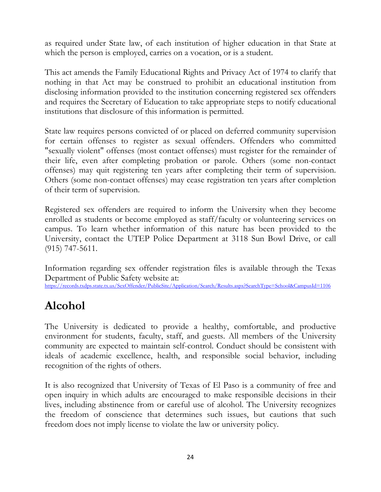as required under State law, of each institution of higher education in that State at which the person is employed, carries on a vocation, or is a student.

This act amends the Family Educational Rights and Privacy Act of 1974 to clarify that nothing in that Act may be construed to prohibit an educational institution from disclosing information provided to the institution concerning registered sex offenders and requires the Secretary of Education to take appropriate steps to notify educational institutions that disclosure of this information is permitted.

State law requires persons convicted of or placed on deferred community supervision for certain offenses to register as sexual offenders. Offenders who committed "sexually violent" offenses (most contact offenses) must register for the remainder of their life, even after completing probation or parole. Others (some non-contact offenses) may quit registering ten years after completing their term of supervision. Others (some non-contact offenses) may cease registration ten years after completion of their term of supervision.

Registered sex offenders are required to inform the University when they become enrolled as students or become employed as staff/faculty or volunteering services on campus. To learn whether information of this nature has been provided to the University, contact the UTEP Police Department at 3118 Sun Bowl Drive, or call (915) 747-5611.

Information regarding sex offender registration files is available through the Texas Department of Public Safety website at: https://records.txdps.state.tx.us/SexOffender/PublicSite/Application/Search/Results.aspx?SearchType=School&CampusId=1106

### Alcohol

The University is dedicated to provide a healthy, comfortable, and productive environment for students, faculty, staff, and guests. All members of the University community are expected to maintain self-control. Conduct should be consistent with ideals of academic excellence, health, and responsible social behavior, including recognition of the rights of others.

It is also recognized that University of Texas of El Paso is a community of free and open inquiry in which adults are encouraged to make responsible decisions in their lives, including abstinence from or careful use of alcohol. The University recognizes the freedom of conscience that determines such issues, but cautions that such freedom does not imply license to violate the law or university policy.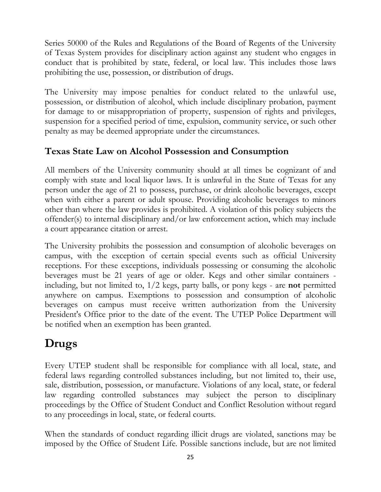Series 50000 of the Rules and Regulations of the Board of Regents of the University of Texas System provides for disciplinary action against any student who engages in conduct that is prohibited by state, federal, or local law. This includes those laws prohibiting the use, possession, or distribution of drugs.

The University may impose penalties for conduct related to the unlawful use, possession, or distribution of alcohol, which include disciplinary probation, payment for damage to or misappropriation of property, suspension of rights and privileges, suspension for a specified period of time, expulsion, community service, or such other penalty as may be deemed appropriate under the circumstances.

### Texas State Law on Alcohol Possession and Consumption

All members of the University community should at all times be cognizant of and comply with state and local liquor laws. It is unlawful in the State of Texas for any person under the age of 21 to possess, purchase, or drink alcoholic beverages, except when with either a parent or adult spouse. Providing alcoholic beverages to minors other than where the law provides is prohibited. A violation of this policy subjects the offender(s) to internal disciplinary and/or law enforcement action, which may include a court appearance citation or arrest.

The University prohibits the possession and consumption of alcoholic beverages on campus, with the exception of certain special events such as official University receptions. For these exceptions, individuals possessing or consuming the alcoholic beverages must be 21 years of age or older. Kegs and other similar containers including, but not limited to, 1/2 kegs, party balls, or pony kegs - are not permitted anywhere on campus. Exemptions to possession and consumption of alcoholic beverages on campus must receive written authorization from the University President's Office prior to the date of the event. The UTEP Police Department will be notified when an exemption has been granted.

### Drugs

Every UTEP student shall be responsible for compliance with all local, state, and federal laws regarding controlled substances including, but not limited to, their use, sale, distribution, possession, or manufacture. Violations of any local, state, or federal law regarding controlled substances may subject the person to disciplinary proceedings by the Office of Student Conduct and Conflict Resolution without regard to any proceedings in local, state, or federal courts.

When the standards of conduct regarding illicit drugs are violated, sanctions may be imposed by the Office of Student Life. Possible sanctions include, but are not limited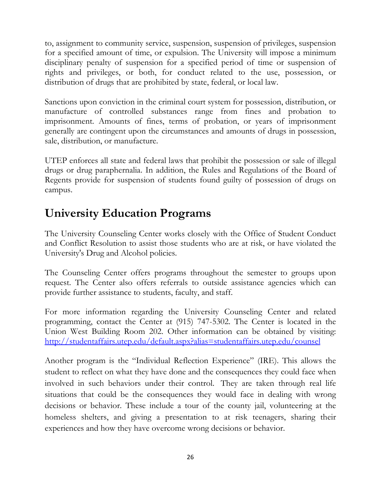to, assignment to community service, suspension, suspension of privileges, suspension for a specified amount of time, or expulsion. The University will impose a minimum disciplinary penalty of suspension for a specified period of time or suspension of rights and privileges, or both, for conduct related to the use, possession, or distribution of drugs that are prohibited by state, federal, or local law.

Sanctions upon conviction in the criminal court system for possession, distribution, or manufacture of controlled substances range from fines and probation to imprisonment. Amounts of fines, terms of probation, or years of imprisonment generally are contingent upon the circumstances and amounts of drugs in possession, sale, distribution, or manufacture.

UTEP enforces all state and federal laws that prohibit the possession or sale of illegal drugs or drug paraphernalia. In addition, the Rules and Regulations of the Board of Regents provide for suspension of students found guilty of possession of drugs on campus.

### University Education Programs

The University Counseling Center works closely with the Office of Student Conduct and Conflict Resolution to assist those students who are at risk, or have violated the University's Drug and Alcohol policies.

The Counseling Center offers programs throughout the semester to groups upon request. The Center also offers referrals to outside assistance agencies which can provide further assistance to students, faculty, and staff.

For more information regarding the University Counseling Center and related programming, contact the Center at (915) 747-5302. The Center is located in the Union West Building Room 202. Other information can be obtained by visiting: http://studentaffairs.utep.edu/default.aspx?alias=studentaffairs.utep.edu/counsel

Another program is the "Individual Reflection Experience" (IRE). This allows the student to reflect on what they have done and the consequences they could face when involved in such behaviors under their control. They are taken through real life situations that could be the consequences they would face in dealing with wrong decisions or behavior. These include a tour of the county jail, volunteering at the homeless shelters, and giving a presentation to at risk teenagers, sharing their experiences and how they have overcome wrong decisions or behavior.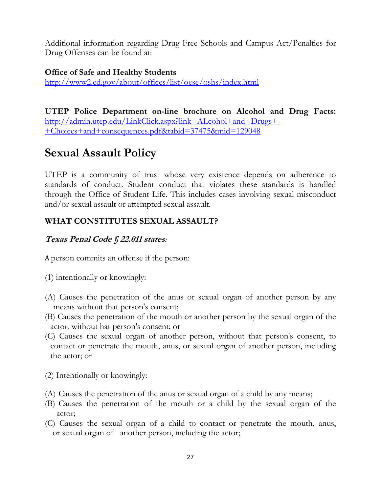Additional information regarding Drug Free Schools and Campus Act/Penalties for Drug Offenses can be found at:

#### Office of Safe and Healthy Students

http://www2.ed.gov/about/offices/list/oese/oshs/index.html

UTEP Police Department on-line brochure on Alcohol and Drug Facts: http://admin.utep.edu/LinkClick.aspx?link=ALcohol+and+Drugs+- +Choices+and+consequences.pdf&tabid=37475&mid=129048

### Sexual Assault Policy

UTEP is a community of trust whose very existence depends on adherence to standards of conduct. Student conduct that violates these standards is handled through the Office of Student Life. This includes cases involving sexual misconduct and/or sexual assault or attempted sexual assault.

### WHAT CONSTITUTES SEXUAL ASSAULT?

### Texas Penal Code § 22.011 states:

A person commits an offense if the person:

- (1) intentionally or knowingly:
- (A) Causes the penetration of the anus or sexual organ of another person by any means without that person's consent;
- (B) Causes the penetration of the mouth or another person by the sexual organ of the actor, without hat person's consent; or
- (C) Causes the sexual organ of another person, without that person's consent, to contact or penetrate the mouth, anus, or sexual organ of another person, including the actor; or
- (2) Intentionally or knowingly:
- (A) Causes the penetration of the anus or sexual organ of a child by any means;
- (B) Causes the penetration of the mouth or a child by the sexual organ of the actor;
- (C) Causes the sexual organ of a child to contact or penetrate the mouth, anus, or sexual organ of another person, including the actor;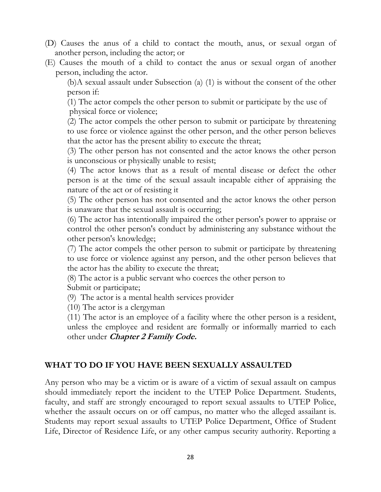- (D) Causes the anus of a child to contact the mouth, anus, or sexual organ of another person, including the actor; or
- (E) Causes the mouth of a child to contact the anus or sexual organ of another person, including the actor.

(b)A sexual assault under Subsection (a) (1) is without the consent of the other person if:

(1) The actor compels the other person to submit or participate by the use of physical force or violence;

(2) The actor compels the other person to submit or participate by threatening to use force or violence against the other person, and the other person believes that the actor has the present ability to execute the threat;

(3) The other person has not consented and the actor knows the other person is unconscious or physically unable to resist;

(4) The actor knows that as a result of mental disease or defect the other person is at the time of the sexual assault incapable either of appraising the nature of the act or of resisting it

(5) The other person has not consented and the actor knows the other person is unaware that the sexual assault is occurring;

(6) The actor has intentionally impaired the other person's power to appraise or control the other person's conduct by administering any substance without the other person's knowledge;

(7) The actor compels the other person to submit or participate by threatening to use force or violence against any person, and the other person believes that the actor has the ability to execute the threat;

(8) The actor is a public servant who coerces the other person to Submit or participate;

(9) The actor is a mental health services provider

(10) The actor is a clergyman

(11) The actor is an employee of a facility where the other person is a resident, unless the employee and resident are formally or informally married to each other under *Chapter 2 Family Code.* 

#### WHAT TO DO IF YOU HAVE BEEN SEXUALLY ASSAULTED

Any person who may be a victim or is aware of a victim of sexual assault on campus should immediately report the incident to the UTEP Police Department. Students, faculty, and staff are strongly encouraged to report sexual assaults to UTEP Police, whether the assault occurs on or off campus, no matter who the alleged assailant is. Students may report sexual assaults to UTEP Police Department, Office of Student Life, Director of Residence Life, or any other campus security authority. Reporting a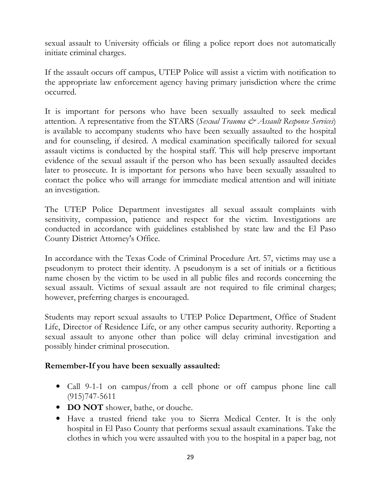sexual assault to University officials or filing a police report does not automatically initiate criminal charges.

If the assault occurs off campus, UTEP Police will assist a victim with notification to the appropriate law enforcement agency having primary jurisdiction where the crime occurred.

It is important for persons who have been sexually assaulted to seek medical attention. A representative from the STARS (Sexual Trauma  $\dot{\mathcal{C}}$  Assault Response Services) is available to accompany students who have been sexually assaulted to the hospital and for counseling, if desired. A medical examination specifically tailored for sexual assault victims is conducted by the hospital staff. This will help preserve important evidence of the sexual assault if the person who has been sexually assaulted decides later to prosecute. It is important for persons who have been sexually assaulted to contact the police who will arrange for immediate medical attention and will initiate an investigation.

The UTEP Police Department investigates all sexual assault complaints with sensitivity, compassion, patience and respect for the victim. Investigations are conducted in accordance with guidelines established by state law and the El Paso County District Attorney's Office.

In accordance with the Texas Code of Criminal Procedure Art. 57, victims may use a pseudonym to protect their identity. A pseudonym is a set of initials or a fictitious name chosen by the victim to be used in all public files and records concerning the sexual assault. Victims of sexual assault are not required to file criminal charges; however, preferring charges is encouraged.

Students may report sexual assaults to UTEP Police Department, Office of Student Life, Director of Residence Life, or any other campus security authority. Reporting a sexual assault to anyone other than police will delay criminal investigation and possibly hinder criminal prosecution.

#### Remember-If you have been sexually assaulted:

- Call 9-1-1 on campus/from a cell phone or off campus phone line call (915)747-5611
- DO NOT shower, bathe, or douche.
- Have a trusted friend take you to Sierra Medical Center. It is the only hospital in El Paso County that performs sexual assault examinations. Take the clothes in which you were assaulted with you to the hospital in a paper bag, not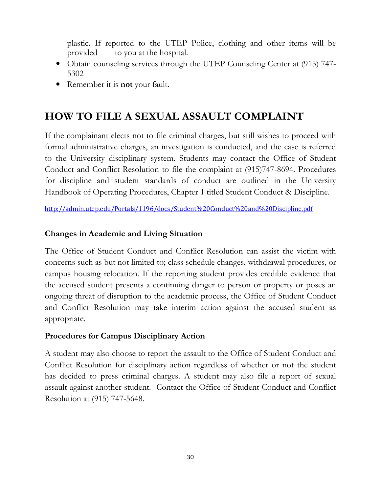plastic. If reported to the UTEP Police, clothing and other items will be provided to you at the hospital.

- Obtain counseling services through the UTEP Counseling Center at (915) 747-5302
- Remember it is **not** your fault.

### HOW TO FILE A SEXUAL ASSAULT COMPLAINT

If the complainant elects not to file criminal charges, but still wishes to proceed with formal administrative charges, an investigation is conducted, and the case is referred to the University disciplinary system. Students may contact the Office of Student Conduct and Conflict Resolution to file the complaint at (915)747-8694. Procedures for discipline and student standards of conduct are outlined in the University Handbook of Operating Procedures, Chapter 1 titled Student Conduct & Discipline.

http://admin.utep.edu/Portals/1196/docs/Student%20Conduct%20and%20Discipline.pdf

#### Changes in Academic and Living Situation

The Office of Student Conduct and Conflict Resolution can assist the victim with concerns such as but not limited to; class schedule changes, withdrawal procedures, or campus housing relocation. If the reporting student provides credible evidence that the accused student presents a continuing danger to person or property or poses an ongoing threat of disruption to the academic process, the Office of Student Conduct and Conflict Resolution may take interim action against the accused student as appropriate.

#### Procedures for Campus Disciplinary Action

A student may also choose to report the assault to the Office of Student Conduct and Conflict Resolution for disciplinary action regardless of whether or not the student has decided to press criminal charges. A student may also file a report of sexual assault against another student. Contact the Office of Student Conduct and Conflict Resolution at (915) 747-5648.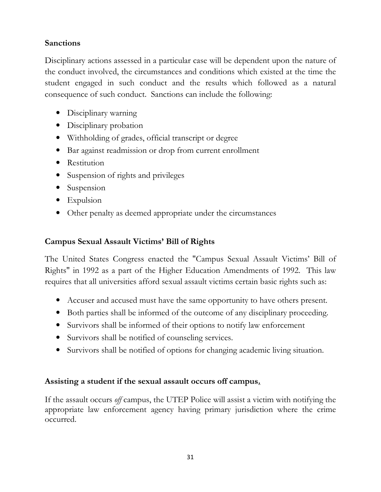### **Sanctions**

Disciplinary actions assessed in a particular case will be dependent upon the nature of the conduct involved, the circumstances and conditions which existed at the time the student engaged in such conduct and the results which followed as a natural consequence of such conduct. Sanctions can include the following:

- Disciplinary warning
- Disciplinary probation
- Withholding of grades, official transcript or degree
- Bar against readmission or drop from current enrollment
- Restitution
- Suspension of rights and privileges
- Suspension
- Expulsion
- Other penalty as deemed appropriate under the circumstances

#### Campus Sexual Assault Victims' Bill of Rights

The United States Congress enacted the "Campus Sexual Assault Victims' Bill of Rights" in 1992 as a part of the Higher Education Amendments of 1992. This law requires that all universities afford sexual assault victims certain basic rights such as:

- Accuser and accused must have the same opportunity to have others present.
- Both parties shall be informed of the outcome of any disciplinary proceeding.
- Survivors shall be informed of their options to notify law enforcement
- Survivors shall be notified of counseling services.
- Survivors shall be notified of options for changing academic living situation.

#### Assisting a student if the sexual assault occurs off campus.

If the assault occurs off campus, the UTEP Police will assist a victim with notifying the appropriate law enforcement agency having primary jurisdiction where the crime occurred.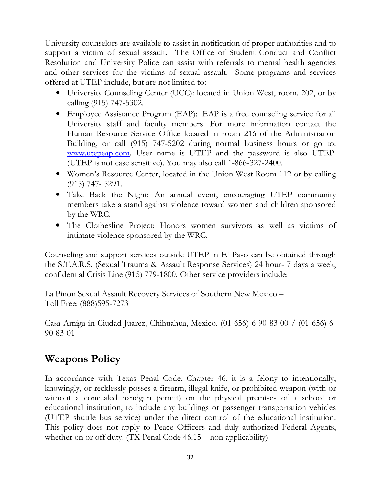University counselors are available to assist in notification of proper authorities and to support a victim of sexual assault. The Office of Student Conduct and Conflict Resolution and University Police can assist with referrals to mental health agencies and other services for the victims of sexual assault. Some programs and services offered at UTEP include, but are not limited to:

- University Counseling Center (UCC): located in Union West, room. 202, or by calling (915) 747-5302.
- Employee Assistance Program (EAP): EAP is a free counseling service for all University staff and faculty members. For more information contact the Human Resource Service Office located in room 216 of the Administration Building, or call (915) 747-5202 during normal business hours or go to: www.utepeap.com. User name is UTEP and the password is also UTEP. (UTEP is not case sensitive). You may also call 1-866-327-2400.
- Women's Resource Center, located in the Union West Room 112 or by calling (915) 747- 5291.
- Take Back the Night: An annual event, encouraging UTEP community members take a stand against violence toward women and children sponsored by the WRC.
- The Clothesline Project: Honors women survivors as well as victims of intimate violence sponsored by the WRC.

Counseling and support services outside UTEP in El Paso can be obtained through the S.T.A.R.S. (Sexual Trauma & Assault Response Services) 24 hour- 7 days a week, confidential Crisis Line (915) 779-1800. Other service providers include:

La Pinon Sexual Assault Recovery Services of Southern New Mexico – Toll Free: (888)595-7273

Casa Amiga in Ciudad Juarez, Chihuahua, Mexico. (01 656) 6-90-83-00 / (01 656) 6- 90-83-01

### Weapons Policy

In accordance with Texas Penal Code, Chapter 46, it is a felony to intentionally, knowingly, or recklessly posses a firearm, illegal knife, or prohibited weapon (with or without a concealed handgun permit) on the physical premises of a school or educational institution, to include any buildings or passenger transportation vehicles (UTEP shuttle bus service) under the direct control of the educational institution. This policy does not apply to Peace Officers and duly authorized Federal Agents, whether on or off duty. (TX Penal Code 46.15 – non applicability)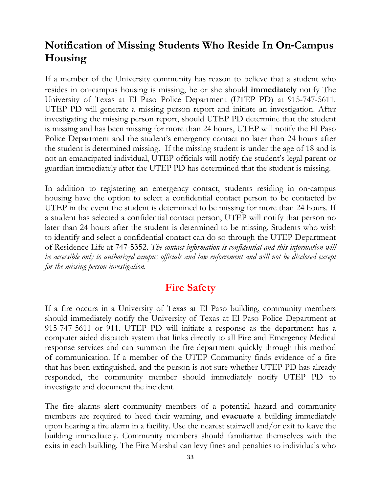### Notification of Missing Students Who Reside In On‐Campus Housing

If a member of the University community has reason to believe that a student who resides in on-campus housing is missing, he or she should **immediately** notify The University of Texas at El Paso Police Department (UTEP PD) at 915-747-5611. UTEP PD will generate a missing person report and initiate an investigation. After investigating the missing person report, should UTEP PD determine that the student is missing and has been missing for more than 24 hours, UTEP will notify the El Paso Police Department and the student's emergency contact no later than 24 hours after the student is determined missing. If the missing student is under the age of 18 and is not an emancipated individual, UTEP officials will notify the student's legal parent or guardian immediately after the UTEP PD has determined that the student is missing.

In addition to registering an emergency contact, students residing in on-campus housing have the option to select a confidential contact person to be contacted by UTEP in the event the student is determined to be missing for more than 24 hours. If a student has selected a confidential contact person, UTEP will notify that person no later than 24 hours after the student is determined to be missing. Students who wish to identify and select a confidential contact can do so through the UTEP Department of Residence Life at 747-5352. The contact information is confidential and this information will be accessible only to authorized campus officials and law enforcement and will not be disclosed except for the missing person investigation.

### **Fire Safety**

If a fire occurs in a University of Texas at El Paso building, community members should immediately notify the University of Texas at El Paso Police Department at 915-747-5611 or 911. UTEP PD will initiate a response as the department has a computer aided dispatch system that links directly to all Fire and Emergency Medical response services and can summon the fire department quickly through this method of communication. If a member of the UTEP Community finds evidence of a fire that has been extinguished, and the person is not sure whether UTEP PD has already responded, the community member should immediately notify UTEP PD to investigate and document the incident.

The fire alarms alert community members of a potential hazard and community members are required to heed their warning, and **evacuate** a building immediately upon hearing a fire alarm in a facility. Use the nearest stairwell and/or exit to leave the building immediately. Community members should familiarize themselves with the exits in each building. The Fire Marshal can levy fines and penalties to individuals who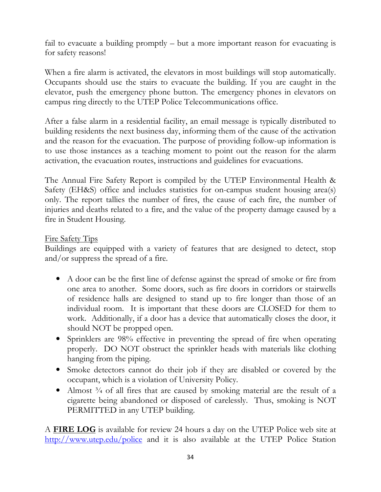fail to evacuate a building promptly – but a more important reason for evacuating is for safety reasons!

When a fire alarm is activated, the elevators in most buildings will stop automatically. Occupants should use the stairs to evacuate the building. If you are caught in the elevator, push the emergency phone button. The emergency phones in elevators on campus ring directly to the UTEP Police Telecommunications office.

After a false alarm in a residential facility, an email message is typically distributed to building residents the next business day, informing them of the cause of the activation and the reason for the evacuation. The purpose of providing follow-up information is to use those instances as a teaching moment to point out the reason for the alarm activation, the evacuation routes, instructions and guidelines for evacuations.

The Annual Fire Safety Report is compiled by the UTEP Environmental Health & Safety (EH&S) office and includes statistics for on-campus student housing area(s) only. The report tallies the number of fires, the cause of each fire, the number of injuries and deaths related to a fire, and the value of the property damage caused by a fire in Student Housing.

#### Fire Safety Tips

Buildings are equipped with a variety of features that are designed to detect, stop and/or suppress the spread of a fire.

- A door can be the first line of defense against the spread of smoke or fire from one area to another. Some doors, such as fire doors in corridors or stairwells of residence halls are designed to stand up to fire longer than those of an individual room. It is important that these doors are CLOSED for them to work. Additionally, if a door has a device that automatically closes the door, it should NOT be propped open.
- Sprinklers are 98% effective in preventing the spread of fire when operating properly. DO NOT obstruct the sprinkler heads with materials like clothing hanging from the piping.
- Smoke detectors cannot do their job if they are disabled or covered by the occupant, which is a violation of University Policy.
- Almost <sup>3</sup>/4 of all fires that are caused by smoking material are the result of a cigarette being abandoned or disposed of carelessly. Thus, smoking is NOT PERMITTED in any UTEP building.

A FIRE LOG is available for review 24 hours a day on the UTEP Police web site at http://www.utep.edu/police and it is also available at the UTEP Police Station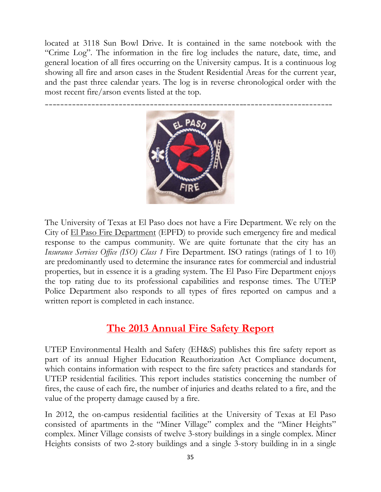located at 3118 Sun Bowl Drive. It is contained in the same notebook with the "Crime Log". The information in the fire log includes the nature, date, time, and general location of all fires occurring on the University campus. It is a continuous log showing all fire and arson cases in the Student Residential Areas for the current year, and the past three calendar years. The log is in reverse chronological order with the most recent fire/arson events listed at the top.



The University of Texas at El Paso does not have a Fire Department. We rely on the City of El Paso Fire Department (EPFD) to provide such emergency fire and medical response to the campus community. We are quite fortunate that the city has an Insurance Services Office (ISO) Class 1 Fire Department. ISO ratings (ratings of 1 to 10) are predominantly used to determine the insurance rates for commercial and industrial properties, but in essence it is a grading system. The El Paso Fire Department enjoys the top rating due to its professional capabilities and response times. The UTEP Police Department also responds to all types of fires reported on campus and a written report is completed in each instance.

### The 2013 Annual Fire Safety Report

UTEP Environmental Health and Safety (EH&S) publishes this fire safety report as part of its annual Higher Education Reauthorization Act Compliance document, which contains information with respect to the fire safety practices and standards for UTEP residential facilities. This report includes statistics concerning the number of fires, the cause of each fire, the number of injuries and deaths related to a fire, and the value of the property damage caused by a fire.

In 2012, the on-campus residential facilities at the University of Texas at El Paso consisted of apartments in the "Miner Village" complex and the "Miner Heights" complex. Miner Village consists of twelve 3-story buildings in a single complex. Miner Heights consists of two 2-story buildings and a single 3-story building in in a single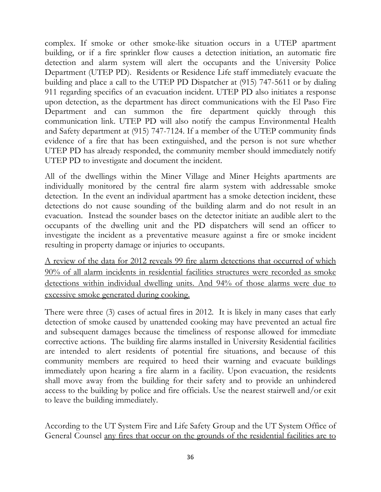complex. If smoke or other smoke-like situation occurs in a UTEP apartment building, or if a fire sprinkler flow causes a detection initiation, an automatic fire detection and alarm system will alert the occupants and the University Police Department (UTEP PD). Residents or Residence Life staff immediately evacuate the building and place a call to the UTEP PD Dispatcher at (915) 747-5611 or by dialing 911 regarding specifics of an evacuation incident. UTEP PD also initiates a response upon detection, as the department has direct communications with the El Paso Fire Department and can summon the fire department quickly through this communication link. UTEP PD will also notify the campus Environmental Health and Safety department at (915) 747-7124. If a member of the UTEP community finds evidence of a fire that has been extinguished, and the person is not sure whether UTEP PD has already responded, the community member should immediately notify UTEP PD to investigate and document the incident.

All of the dwellings within the Miner Village and Miner Heights apartments are individually monitored by the central fire alarm system with addressable smoke detection. In the event an individual apartment has a smoke detection incident, these detections do not cause sounding of the building alarm and do not result in an evacuation. Instead the sounder bases on the detector initiate an audible alert to the occupants of the dwelling unit and the PD dispatchers will send an officer to investigate the incident as a preventative measure against a fire or smoke incident resulting in property damage or injuries to occupants.

A review of the data for 2012 reveals 99 fire alarm detections that occurred of which 90% of all alarm incidents in residential facilities structures were recorded as smoke detections within individual dwelling units. And 94% of those alarms were due to excessive smoke generated during cooking.

There were three (3) cases of actual fires in 2012. It is likely in many cases that early detection of smoke caused by unattended cooking may have prevented an actual fire and subsequent damages because the timeliness of response allowed for immediate corrective actions. The building fire alarms installed in University Residential facilities are intended to alert residents of potential fire situations, and because of this community members are required to heed their warning and evacuate buildings immediately upon hearing a fire alarm in a facility. Upon evacuation, the residents shall move away from the building for their safety and to provide an unhindered access to the building by police and fire officials. Use the nearest stairwell and/or exit to leave the building immediately.

According to the UT System Fire and Life Safety Group and the UT System Office of General Counsel any fires that occur on the grounds of the residential facilities are to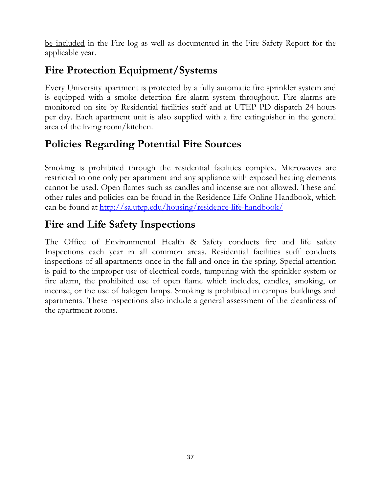be included in the Fire log as well as documented in the Fire Safety Report for the applicable year.

### Fire Protection Equipment/Systems

Every University apartment is protected by a fully automatic fire sprinkler system and is equipped with a smoke detection fire alarm system throughout. Fire alarms are monitored on site by Residential facilities staff and at UTEP PD dispatch 24 hours per day. Each apartment unit is also supplied with a fire extinguisher in the general area of the living room/kitchen.

### Policies Regarding Potential Fire Sources

Smoking is prohibited through the residential facilities complex. Microwaves are restricted to one only per apartment and any appliance with exposed heating elements cannot be used. Open flames such as candles and incense are not allowed. These and other rules and policies can be found in the Residence Life Online Handbook, which can be found at <u>http://sa.utep.edu/housing/residence-life-handbook/</u>

### Fire and Life Safety Inspections

The Office of Environmental Health & Safety conducts fire and life safety Inspections each year in all common areas. Residential facilities staff conducts inspections of all apartments once in the fall and once in the spring. Special attention is paid to the improper use of electrical cords, tampering with the sprinkler system or fire alarm, the prohibited use of open flame which includes, candles, smoking, or incense, or the use of halogen lamps. Smoking is prohibited in campus buildings and apartments. These inspections also include a general assessment of the cleanliness of the apartment rooms.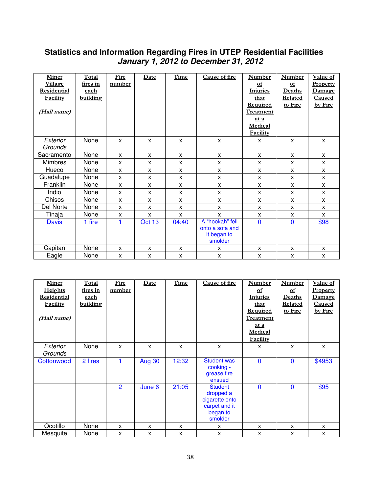#### **Statistics and Information Regarding Fires in UTEP Residential Facilities January 1, 2012 to December 31, 2012**

| Miner              | Total    | Fire   | Date   | Time  | Cause of fire   | <b>Number</b>    | <b>Number</b>             | Value of        |
|--------------------|----------|--------|--------|-------|-----------------|------------------|---------------------------|-----------------|
| <b>Village</b>     | fires in | number |        |       |                 | of               | $\underline{\mathbf{of}}$ | <b>Property</b> |
| <b>Residential</b> | each     |        |        |       |                 | <b>Injuries</b>  | Deaths                    | Damage          |
| Facility           | building |        |        |       |                 | that             | Related                   | <b>Caused</b>   |
|                    |          |        |        |       |                 | <b>Required</b>  | to Fire                   | by Fire         |
| (Hall name)        |          |        |        |       |                 | <b>Treatment</b> |                           |                 |
|                    |          |        |        |       |                 | at a             |                           |                 |
|                    |          |        |        |       |                 | Medical          |                           |                 |
|                    |          |        |        |       |                 | Facility         |                           |                 |
| Exterior           | None     | X      | X      | X     | $\mathsf{x}$    | X                | X                         | X               |
| Grounds            |          |        |        |       |                 |                  |                           |                 |
| Sacramento         | None     | X      | X      | X     | X               | X                | $\mathsf{x}$              | X               |
| <b>Mimbres</b>     | None     | X      | X      | X     | X               | X                | $\mathsf{x}$              | X.              |
| Hueco              | None     | X      | X      | X     | X               | X                | X                         | X               |
| Guadalupe          | None     | X      | X      | X     | X               | X                | $\mathsf{x}$              | X               |
| Franklin           | None     | X      | X      | X     | X               | X                | X                         | X               |
| Indio              | None     | X      | X      | X     | X               | X                | $\mathsf{x}$              | X               |
| Chisos             | None     | X      | X      | X     | X               | $\mathsf{x}$     | X                         | X               |
| Del Norte          | None     | X      | X      | X     | X               | X                | X                         | X               |
| Tinaja             | None     | X      | X      | X     | X               | X                | X                         | X               |
| <b>Davis</b>       | 1 fire   |        | Oct 13 | 04:40 | A "hookah" fell | $\mathbf 0$      | $\mathbf{0}$              | \$98            |
|                    |          |        |        |       | onto a sofa and |                  |                           |                 |
|                    |          |        |        |       | it began to     |                  |                           |                 |
|                    |          |        |        |       | smolder         |                  |                           |                 |
| Capitan            | None     | X      | X      | X     | X               | X                | X                         | X               |
| Eagle              | None     | X      | X      | X     | X               | $\mathsf{x}$     | X                         | X               |

| <b>Miner</b>        | Total       | Fire           | Date          | Time  | Cause of fire                                                                         | <b>Number</b>    | <b>Number</b> | Value of        |
|---------------------|-------------|----------------|---------------|-------|---------------------------------------------------------------------------------------|------------------|---------------|-----------------|
| <b>Heights</b>      | fires in    | number         |               |       |                                                                                       | $\mathbf{p}$     | $\mathbf{p}$  | <b>Property</b> |
| <b>Residential</b>  | <u>each</u> |                |               |       |                                                                                       | <b>Injuries</b>  | Deaths        | Damage          |
| Facility            | building    |                |               |       |                                                                                       | that             | Related       | <b>Caused</b>   |
|                     |             |                |               |       |                                                                                       | <b>Required</b>  | to Fire       | by Fire         |
| (Hall name)         |             |                |               |       |                                                                                       | <b>Treatment</b> |               |                 |
|                     |             |                |               |       |                                                                                       | at a             |               |                 |
|                     |             |                |               |       |                                                                                       | Medical          |               |                 |
|                     |             |                |               |       |                                                                                       | <b>Facility</b>  |               |                 |
| Exterior<br>Grounds | None        | X              | X             | X     | X                                                                                     | X                | X             | X               |
| Cottonwood          | 2 fires     |                | <b>Aug 30</b> | 12:32 | <b>Student was</b><br>cooking -<br>grease fire<br>ensued                              | $\Omega$         | $\mathbf{0}$  | \$4953          |
|                     |             | $\overline{2}$ | June 6        | 21:05 | <b>Student</b><br>dropped a<br>cigarette onto<br>carpet and it<br>began to<br>smolder | $\mathbf{0}$     | $\mathbf 0$   | \$95            |
| Ocotillo            | None        | X              | X             | X     | x                                                                                     | X                | X             | X               |
| Mesquite            | None        | X              | x             | X     | x                                                                                     | X                | X             | X               |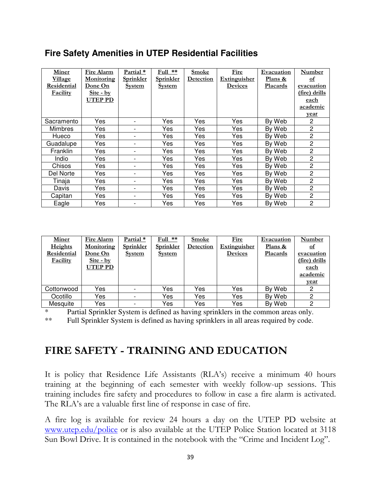### **Fire Safety Amenities in UTEP Residential Facilities**

| <b>Miner</b>   | Fire Alarm        | Partial *                | $Full$ **        | <b>Smoke</b>     | Fire           | Evacuation      | Number               |
|----------------|-------------------|--------------------------|------------------|------------------|----------------|-----------------|----------------------|
| Village        | <u>Monitoring</u> | <u>Sprinkler</u>         | <u>Sprinkler</u> | <b>Detection</b> | Extinguisher   | Plans &         | of                   |
| Residential    | Done On           | <b>System</b>            | <b>System</b>    |                  | <b>Devices</b> | <b>Placards</b> | evacuation           |
| Facility       | <u>Site - by</u>  |                          |                  |                  |                |                 | <u>(fire) drills</u> |
|                | UTEP PD           |                          |                  |                  |                |                 | <u>each</u>          |
|                |                   |                          |                  |                  |                |                 | academic             |
|                |                   |                          |                  |                  |                |                 | year                 |
| Sacramento     | Yes               | $\overline{\phantom{0}}$ | Yes              | Yes              | Yes            | By Web          | $\mathbf{2}$         |
| <b>Mimbres</b> | Yes               | $\overline{\phantom{0}}$ | Yes              | Yes              | Yes            | By Web          | 2                    |
| Hueco          | Yes               | $\overline{\phantom{0}}$ | Yes              | Yes              | Yes            | By Web          | 2                    |
| Guadalupe      | Yes               | -                        | Yes.             | Yes              | Yes            | By Web          | 2                    |
| Franklin       | Yes               | -                        | Yes.             | Yes              | Yes            | By Web          | 2                    |
| Indio          | Yes               | $\overline{\phantom{0}}$ | Yes.             | Yes              | Yes            | By Web          | 2                    |
| Chisos         | Yes               | $\overline{\phantom{0}}$ | Yes.             | Yes              | Yes            | By Web          | 2                    |
| Del Norte      | Yes               | $\overline{\phantom{0}}$ | Yes.             | Yes              | Yes            | By Web          | 2                    |
| Tinaja         | Yes               | $\overline{\phantom{0}}$ | Yes              | Yes              | Yes            | By Web          | 2                    |
| Davis          | Yes               | $\overline{\phantom{0}}$ | Yes              | Yes              | Yes            | By Web          | 2                    |
| Capitan        | Yes               | $\overline{\phantom{0}}$ | Yes              | Yes              | Yes            | By Web          | 2                    |
| Eagle          | Yes               |                          | Yes              | Yes              | Yes            | By Web          | $\overline{2}$       |

| Miner<br><b>Heights</b><br>Residential<br><b>Facility</b> | Fire Alarm<br>Monitoring<br>Done On<br>Site - by<br>UTEP PD | Partial $*$<br>Sprinkler<br><b>System</b> | $Full$ **<br>Sprinkler<br><b>System</b> | <b>Smoke</b><br>Detection | Fire<br><b>Extinguisher</b><br><b>Devices</b> | Evacuation<br>Plans &<br>Placards | Number<br>$\Omega$<br>evacuation<br>(fire) drills<br><u>each</u><br>academic<br><u>vear</u> |
|-----------------------------------------------------------|-------------------------------------------------------------|-------------------------------------------|-----------------------------------------|---------------------------|-----------------------------------------------|-----------------------------------|---------------------------------------------------------------------------------------------|
| Cottonwood                                                | Yes                                                         |                                           | Yes                                     | Yes                       | Yes                                           | By Web                            | 2                                                                                           |
| Ocotillo                                                  | Yes                                                         |                                           | Yes                                     | Yes                       | Yes                                           | By Web                            | 2                                                                                           |
| Mesquite                                                  | Yes                                                         | $\overline{\phantom{0}}$                  | Yes                                     | Yes                       | Yes                                           | By Web                            | 2                                                                                           |

\* Partial Sprinkler System is defined as having sprinklers in the common areas only. \*\* Full Sprinkler System is defined as having sprinklers in all areas required by code.

### FIRE SAFETY - TRAINING AND EDUCATION

It is policy that Residence Life Assistants (RLA's) receive a minimum 40 hours training at the beginning of each semester with weekly follow-up sessions. This training includes fire safety and procedures to follow in case a fire alarm is activated. The RLA's are a valuable first line of response in case of fire.

A fire log is available for review 24 hours a day on the UTEP PD website at www.utep.edu/police or is also available at the UTEP Police Station located at 3118 Sun Bowl Drive. It is contained in the notebook with the "Crime and Incident Log".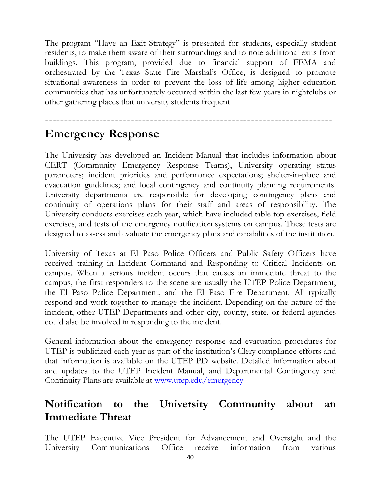The program "Have an Exit Strategy" is presented for students, especially student residents, to make them aware of their surroundings and to note additional exits from buildings. This program, provided due to financial support of FEMA and orchestrated by the Texas State Fire Marshal's Office, is designed to promote situational awareness in order to prevent the loss of life among higher education communities that has unfortunately occurred within the last few years in nightclubs or other gathering places that university students frequent.

--------------------------------------------------------------------------

### Emergency Response

The University has developed an Incident Manual that includes information about CERT (Community Emergency Response Teams), University operating status parameters; incident priorities and performance expectations; shelter-in-place and evacuation guidelines; and local contingency and continuity planning requirements. University departments are responsible for developing contingency plans and continuity of operations plans for their staff and areas of responsibility. The University conducts exercises each year, which have included table top exercises, field exercises, and tests of the emergency notification systems on campus. These tests are designed to assess and evaluate the emergency plans and capabilities of the institution.

University of Texas at El Paso Police Officers and Public Safety Officers have received training in Incident Command and Responding to Critical Incidents on campus. When a serious incident occurs that causes an immediate threat to the campus, the first responders to the scene are usually the UTEP Police Department, the El Paso Police Department, and the El Paso Fire Department. All typically respond and work together to manage the incident. Depending on the nature of the incident, other UTEP Departments and other city, county, state, or federal agencies could also be involved in responding to the incident.

General information about the emergency response and evacuation procedures for UTEP is publicized each year as part of the institution's Clery compliance efforts and that information is available on the UTEP PD website. Detailed information about and updates to the UTEP Incident Manual, and Departmental Contingency and Continuity Plans are available at www.utep.edu/emergency

### Notification to the University Community about an Immediate Threat

The UTEP Executive Vice President for Advancement and Oversight and the University Communications Office receive information from various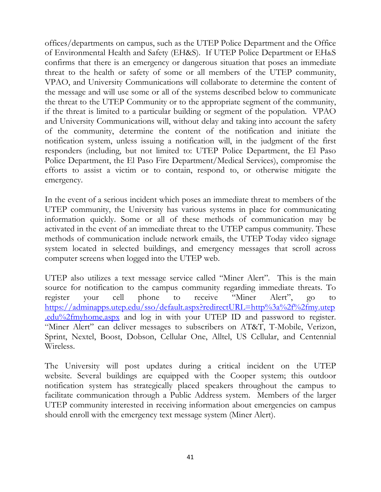offices/departments on campus, such as the UTEP Police Department and the Office of Environmental Health and Safety (EH&S). If UTEP Police Department or EH&S confirms that there is an emergency or dangerous situation that poses an immediate threat to the health or safety of some or all members of the UTEP community, VPAO, and University Communications will collaborate to determine the content of the message and will use some or all of the systems described below to communicate the threat to the UTEP Community or to the appropriate segment of the community, if the threat is limited to a particular building or segment of the population. VPAO and University Communications will, without delay and taking into account the safety of the community, determine the content of the notification and initiate the notification system, unless issuing a notification will, in the judgment of the first responders (including, but not limited to: UTEP Police Department, the El Paso Police Department, the El Paso Fire Department/Medical Services), compromise the efforts to assist a victim or to contain, respond to, or otherwise mitigate the emergency.

In the event of a serious incident which poses an immediate threat to members of the UTEP community, the University has various systems in place for communicating information quickly. Some or all of these methods of communication may be activated in the event of an immediate threat to the UTEP campus community. These methods of communication include network emails, the UTEP Today video signage system located in selected buildings, and emergency messages that scroll across computer screens when logged into the UTEP web.

UTEP also utilizes a text message service called "Miner Alert". This is the main source for notification to the campus community regarding immediate threats. To register your cell phone to receive "Miner Alert", go to https://adminapps.utep.edu/sso/default.aspx?redirectURL=http%3a%2f%2fmy.utep .edu%2fmyhome.aspx and log in with your UTEP ID and password to register. "Miner Alert" can deliver messages to subscribers on AT&T, T-Mobile, Verizon, Sprint, Nextel, Boost, Dobson, Cellular One, Alltel, US Cellular, and Centennial Wireless.

The University will post updates during a critical incident on the UTEP website. Several buildings are equipped with the Cooper system; this outdoor notification system has strategically placed speakers throughout the campus to facilitate communication through a Public Address system. Members of the larger UTEP community interested in receiving information about emergencies on campus should enroll with the emergency text message system (Miner Alert).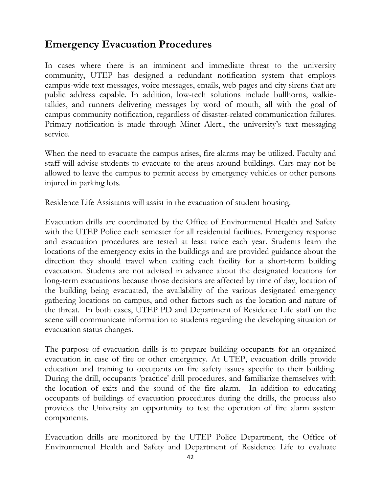### Emergency Evacuation Procedures

In cases where there is an imminent and immediate threat to the university community, UTEP has designed a redundant notification system that employs campus-wide text messages, voice messages, emails, web pages and city sirens that are public address capable. In addition, low-tech solutions include bullhorns, walkietalkies, and runners delivering messages by word of mouth, all with the goal of campus community notification, regardless of disaster-related communication failures. Primary notification is made through Miner Alert., the university's text messaging service.

When the need to evacuate the campus arises, fire alarms may be utilized. Faculty and staff will advise students to evacuate to the areas around buildings. Cars may not be allowed to leave the campus to permit access by emergency vehicles or other persons injured in parking lots.

Residence Life Assistants will assist in the evacuation of student housing.

Evacuation drills are coordinated by the Office of Environmental Health and Safety with the UTEP Police each semester for all residential facilities. Emergency response and evacuation procedures are tested at least twice each year. Students learn the locations of the emergency exits in the buildings and are provided guidance about the direction they should travel when exiting each facility for a short-term building evacuation. Students are not advised in advance about the designated locations for long-term evacuations because those decisions are affected by time of day, location of the building being evacuated, the availability of the various designated emergency gathering locations on campus, and other factors such as the location and nature of the threat. In both cases, UTEP PD and Department of Residence Life staff on the scene will communicate information to students regarding the developing situation or evacuation status changes.

The purpose of evacuation drills is to prepare building occupants for an organized evacuation in case of fire or other emergency. At UTEP, evacuation drills provide education and training to occupants on fire safety issues specific to their building. During the drill, occupants 'practice' drill procedures, and familiarize themselves with the location of exits and the sound of the fire alarm. In addition to educating occupants of buildings of evacuation procedures during the drills, the process also provides the University an opportunity to test the operation of fire alarm system components.

Evacuation drills are monitored by the UTEP Police Department, the Office of Environmental Health and Safety and Department of Residence Life to evaluate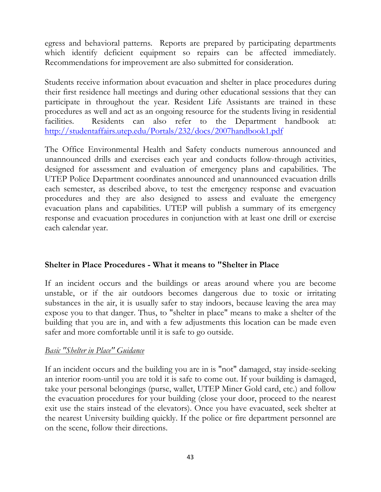egress and behavioral patterns. Reports are prepared by participating departments which identify deficient equipment so repairs can be affected immediately. Recommendations for improvement are also submitted for consideration.

Students receive information about evacuation and shelter in place procedures during their first residence hall meetings and during other educational sessions that they can participate in throughout the year. Resident Life Assistants are trained in these procedures as well and act as an ongoing resource for the students living in residential facilities. Residents can also refer to the Department handbook at: http://studentaffairs.utep.edu/Portals/232/docs/2007handbook1.pdf

The Office Environmental Health and Safety conducts numerous announced and unannounced drills and exercises each year and conducts follow-through activities, designed for assessment and evaluation of emergency plans and capabilities. The UTEP Police Department coordinates announced and unannounced evacuation drills each semester, as described above, to test the emergency response and evacuation procedures and they are also designed to assess and evaluate the emergency evacuation plans and capabilities. UTEP will publish a summary of its emergency response and evacuation procedures in conjunction with at least one drill or exercise each calendar year.

#### Shelter in Place Procedures - What it means to "Shelter in Place

If an incident occurs and the buildings or areas around where you are become unstable, or if the air outdoors becomes dangerous due to toxic or irritating substances in the air, it is usually safer to stay indoors, because leaving the area may expose you to that danger. Thus, to "shelter in place" means to make a shelter of the building that you are in, and with a few adjustments this location can be made even safer and more comfortable until it is safe to go outside.

#### Basic "Shelter in Place" Guidance

If an incident occurs and the building you are in is "not" damaged, stay inside-seeking an interior room-until you are told it is safe to come out. If your building is damaged, take your personal belongings (purse, wallet, UTEP Miner Gold card, etc.) and follow the evacuation procedures for your building (close your door, proceed to the nearest exit use the stairs instead of the elevators). Once you have evacuated, seek shelter at the nearest University building quickly. If the police or fire department personnel are on the scene, follow their directions.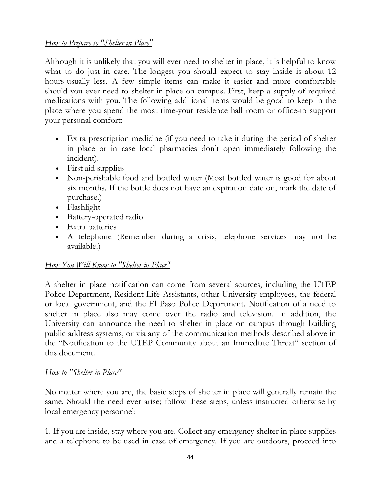#### How to Prepare to "Shelter in Place"

Although it is unlikely that you will ever need to shelter in place, it is helpful to know what to do just in case. The longest you should expect to stay inside is about 12 hours-usually less. A few simple items can make it easier and more comfortable should you ever need to shelter in place on campus. First, keep a supply of required medications with you. The following additional items would be good to keep in the place where you spend the most time-your residence hall room or office-to support your personal comfort:

- Extra prescription medicine (if you need to take it during the period of shelter in place or in case local pharmacies don't open immediately following the incident).
- First aid supplies
- Non-perishable food and bottled water (Most bottled water is good for about six months. If the bottle does not have an expiration date on, mark the date of purchase.)
- Flashlight
- Battery-operated radio
- Extra batteries
- A telephone (Remember during a crisis, telephone services may not be available.)

#### How You Will Know to "Shelter in Place"

A shelter in place notification can come from several sources, including the UTEP Police Department, Resident Life Assistants, other University employees, the federal or local government, and the El Paso Police Department. Notification of a need to shelter in place also may come over the radio and television. In addition, the University can announce the need to shelter in place on campus through building public address systems, or via any of the communication methods described above in the "Notification to the UTEP Community about an Immediate Threat" section of this document.

#### How to "Shelter in Place"

No matter where you are, the basic steps of shelter in place will generally remain the same. Should the need ever arise; follow these steps, unless instructed otherwise by local emergency personnel:

1. If you are inside, stay where you are. Collect any emergency shelter in place supplies and a telephone to be used in case of emergency. If you are outdoors, proceed into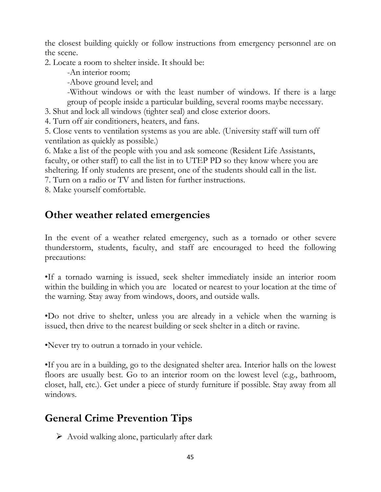the closest building quickly or follow instructions from emergency personnel are on the scene.

2. Locate a room to shelter inside. It should be:

-An interior room;

-Above ground level; and

-Without windows or with the least number of windows. If there is a large group of people inside a particular building, several rooms maybe necessary.

3. Shut and lock all windows (tighter seal) and close exterior doors.

4. Turn off air conditioners, heaters, and fans.

5. Close vents to ventilation systems as you are able. (University staff will turn off ventilation as quickly as possible.)

6. Make a list of the people with you and ask someone (Resident Life Assistants, faculty, or other staff) to call the list in to UTEP PD so they know where you are sheltering. If only students are present, one of the students should call in the list.

7. Turn on a radio or TV and listen for further instructions.

8. Make yourself comfortable.

### Other weather related emergencies

In the event of a weather related emergency, such as a tornado or other severe thunderstorm, students, faculty, and staff are encouraged to heed the following precautions:

•If a tornado warning is issued, seek shelter immediately inside an interior room within the building in which you are located or nearest to your location at the time of the warning. Stay away from windows, doors, and outside walls.

•Do not drive to shelter, unless you are already in a vehicle when the warning is issued, then drive to the nearest building or seek shelter in a ditch or ravine.

•Never try to outrun a tornado in your vehicle.

•If you are in a building, go to the designated shelter area. Interior halls on the lowest floors are usually best. Go to an interior room on the lowest level (e.g., bathroom, closet, hall, etc.). Get under a piece of sturdy furniture if possible. Stay away from all windows.

### General Crime Prevention Tips

 $\triangleright$  Avoid walking alone, particularly after dark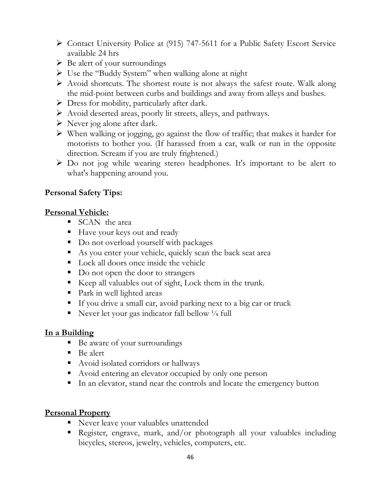- Contact University Police at (915) 747-5611 for a Public Safety Escort Service available 24 hrs
- $\triangleright$  Be alert of your surroundings
- $\triangleright$  Use the "Buddy System" when walking alone at night
- $\triangleright$  Avoid shortcuts. The shortest route is not always the safest route. Walk along the mid-point between curbs and buildings and away from alleys and bushes.
- Dress for mobility, particularly after dark.
- $\triangleright$  Avoid deserted areas, poorly lit streets, alleys, and pathways.
- $\triangleright$  Never jog alone after dark.
- $\triangleright$  When walking or jogging, go against the flow of traffic; that makes it harder for motorists to bother you. (If harassed from a car, walk or run in the opposite direction. Scream if you are truly frightened.)
- Do not jog while wearing stereo headphones. It's important to be alert to what's happening around you.

### Personal Safety Tips:

### Personal Vehicle:

- **SCAN** the area
- Have your keys out and ready
- $\blacksquare$  Do not overload yourself with packages
- As you enter your vehicle, quickly scan the back seat area
- **Lock all doors once inside the vehicle**
- Do not open the door to strangers
- Keep all valuables out of sight, Lock them in the trunk.
- **Park in well lighted areas**
- If you drive a small car, avoid parking next to a big car or truck
- Never let your gas indicator fall bellow 1/4 full

### In a Building

- Be aware of your surroundings
- Be alert
- Avoid isolated corridors or hallways
- Avoid entering an elevator occupied by only one person
- In an elevator, stand near the controls and locate the emergency button

### Personal Property

- Never leave your valuables unattended
- Register, engrave, mark, and/or photograph all your valuables including bicycles, stereos, jewelry, vehicles, computers, etc.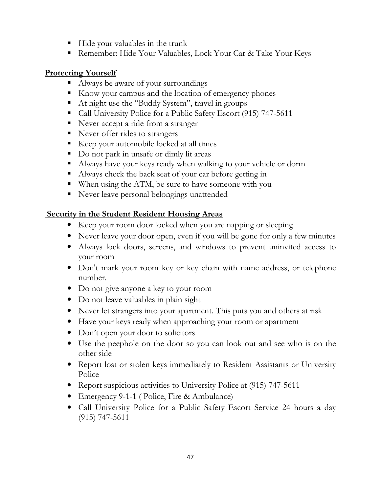- Hide your valuables in the trunk
- Remember: Hide Your Valuables, Lock Your Car & Take Your Keys

### Protecting Yourself

- Always be aware of your surroundings
- Know your campus and the location of emergency phones
- At night use the "Buddy System", travel in groups
- Call University Police for a Public Safety Escort (915) 747-5611
- **Never accept a ride from a stranger**
- **Never offer rides to strangers**
- Keep your automobile locked at all times
- Do not park in unsafe or dimly lit areas
- Always have your keys ready when walking to your vehicle or dorm
- Always check the back seat of your car before getting in
- When using the ATM, be sure to have someone with you
- **Never leave personal belongings unattended**

### **Security in the Student Resident Housing Areas**

- Keep your room door locked when you are napping or sleeping
- Never leave your door open, even if you will be gone for only a few minutes
- Always lock doors, screens, and windows to prevent uninvited access to your room
- Don't mark your room key or key chain with name address, or telephone number.
- Do not give anyone a key to your room
- Do not leave valuables in plain sight
- Never let strangers into your apartment. This puts you and others at risk
- Have your keys ready when approaching your room or apartment
- Don't open your door to solicitors
- Use the peephole on the door so you can look out and see who is on the other side
- Report lost or stolen keys immediately to Resident Assistants or University Police
- Report suspicious activities to University Police at (915) 747-5611
- Emergency 9-1-1 ( Police, Fire & Ambulance)
- Call University Police for a Public Safety Escort Service 24 hours a day (915) 747-5611